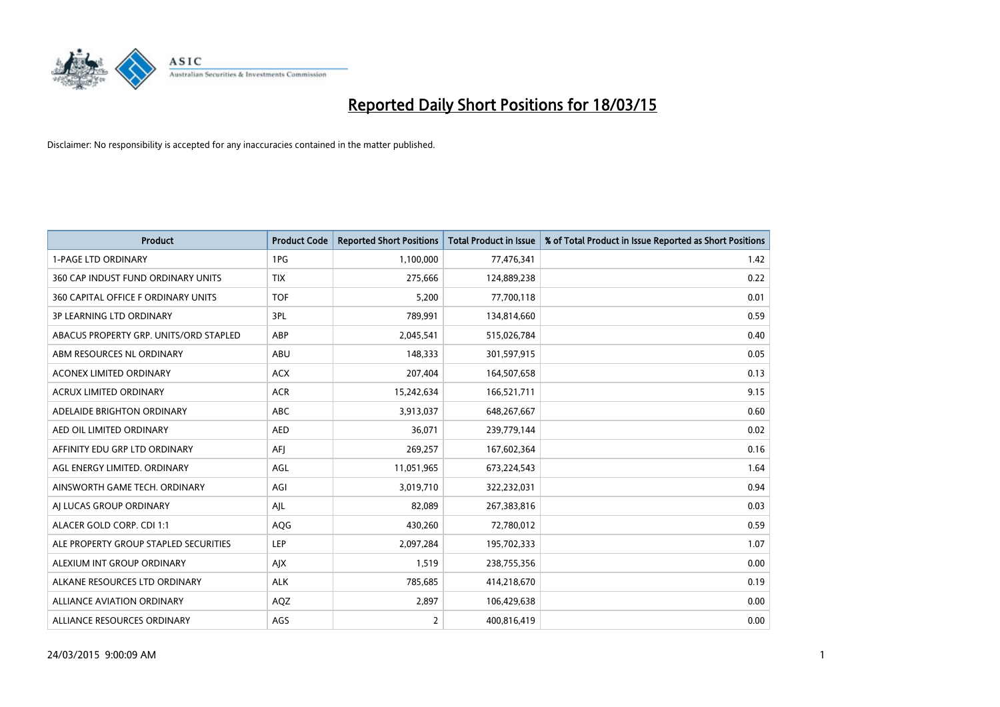

| <b>Product</b>                         | <b>Product Code</b> | <b>Reported Short Positions</b> | <b>Total Product in Issue</b> | % of Total Product in Issue Reported as Short Positions |
|----------------------------------------|---------------------|---------------------------------|-------------------------------|---------------------------------------------------------|
| <b>1-PAGE LTD ORDINARY</b>             | 1PG                 | 1,100,000                       | 77,476,341                    | 1.42                                                    |
| 360 CAP INDUST FUND ORDINARY UNITS     | <b>TIX</b>          | 275,666                         | 124,889,238                   | 0.22                                                    |
| 360 CAPITAL OFFICE F ORDINARY UNITS    | <b>TOF</b>          | 5,200                           | 77,700,118                    | 0.01                                                    |
| <b>3P LEARNING LTD ORDINARY</b>        | 3PL                 | 789,991                         | 134,814,660                   | 0.59                                                    |
| ABACUS PROPERTY GRP. UNITS/ORD STAPLED | ABP                 | 2,045,541                       | 515,026,784                   | 0.40                                                    |
| ABM RESOURCES NL ORDINARY              | ABU                 | 148,333                         | 301,597,915                   | 0.05                                                    |
| ACONEX LIMITED ORDINARY                | <b>ACX</b>          | 207,404                         | 164,507,658                   | 0.13                                                    |
| ACRUX LIMITED ORDINARY                 | <b>ACR</b>          | 15,242,634                      | 166,521,711                   | 9.15                                                    |
| ADELAIDE BRIGHTON ORDINARY             | <b>ABC</b>          | 3,913,037                       | 648,267,667                   | 0.60                                                    |
| AED OIL LIMITED ORDINARY               | <b>AED</b>          | 36,071                          | 239,779,144                   | 0.02                                                    |
| AFFINITY EDU GRP LTD ORDINARY          | AFJ                 | 269,257                         | 167,602,364                   | 0.16                                                    |
| AGL ENERGY LIMITED. ORDINARY           | AGL                 | 11,051,965                      | 673,224,543                   | 1.64                                                    |
| AINSWORTH GAME TECH. ORDINARY          | AGI                 | 3,019,710                       | 322,232,031                   | 0.94                                                    |
| AI LUCAS GROUP ORDINARY                | AJL                 | 82,089                          | 267,383,816                   | 0.03                                                    |
| ALACER GOLD CORP. CDI 1:1              | AQG                 | 430,260                         | 72,780,012                    | 0.59                                                    |
| ALE PROPERTY GROUP STAPLED SECURITIES  | LEP                 | 2,097,284                       | 195,702,333                   | 1.07                                                    |
| ALEXIUM INT GROUP ORDINARY             | AJX                 | 1,519                           | 238,755,356                   | 0.00                                                    |
| ALKANE RESOURCES LTD ORDINARY          | <b>ALK</b>          | 785,685                         | 414,218,670                   | 0.19                                                    |
| ALLIANCE AVIATION ORDINARY             | AQZ                 | 2,897                           | 106,429,638                   | 0.00                                                    |
| ALLIANCE RESOURCES ORDINARY            | AGS                 | 2                               | 400,816,419                   | 0.00                                                    |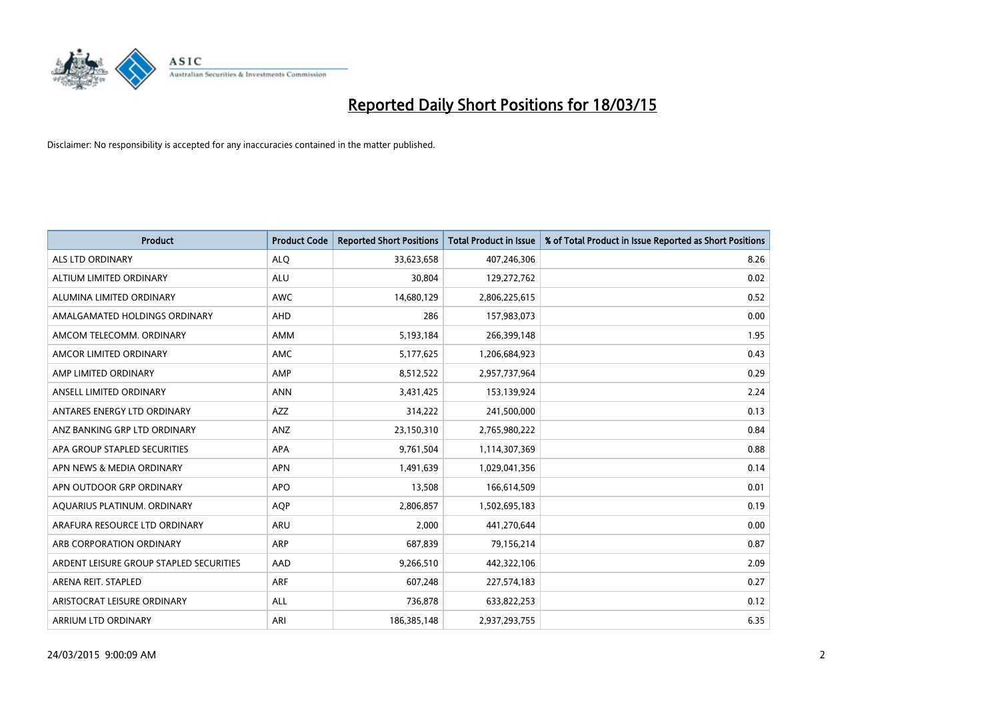

| <b>Product</b>                          | <b>Product Code</b> | <b>Reported Short Positions</b> | <b>Total Product in Issue</b> | % of Total Product in Issue Reported as Short Positions |
|-----------------------------------------|---------------------|---------------------------------|-------------------------------|---------------------------------------------------------|
| ALS LTD ORDINARY                        | <b>ALQ</b>          | 33,623,658                      | 407,246,306                   | 8.26                                                    |
| ALTIUM LIMITED ORDINARY                 | <b>ALU</b>          | 30,804                          | 129,272,762                   | 0.02                                                    |
| ALUMINA LIMITED ORDINARY                | <b>AWC</b>          | 14,680,129                      | 2,806,225,615                 | 0.52                                                    |
| AMALGAMATED HOLDINGS ORDINARY           | AHD                 | 286                             | 157,983,073                   | 0.00                                                    |
| AMCOM TELECOMM, ORDINARY                | <b>AMM</b>          | 5,193,184                       | 266,399,148                   | 1.95                                                    |
| AMCOR LIMITED ORDINARY                  | <b>AMC</b>          | 5,177,625                       | 1,206,684,923                 | 0.43                                                    |
| AMP LIMITED ORDINARY                    | AMP                 | 8,512,522                       | 2,957,737,964                 | 0.29                                                    |
| ANSELL LIMITED ORDINARY                 | <b>ANN</b>          | 3,431,425                       | 153,139,924                   | 2.24                                                    |
| ANTARES ENERGY LTD ORDINARY             | AZZ                 | 314,222                         | 241,500,000                   | 0.13                                                    |
| ANZ BANKING GRP LTD ORDINARY            | ANZ                 | 23,150,310                      | 2,765,980,222                 | 0.84                                                    |
| APA GROUP STAPLED SECURITIES            | APA                 | 9,761,504                       | 1,114,307,369                 | 0.88                                                    |
| APN NEWS & MEDIA ORDINARY               | <b>APN</b>          | 1,491,639                       | 1,029,041,356                 | 0.14                                                    |
| APN OUTDOOR GRP ORDINARY                | <b>APO</b>          | 13,508                          | 166,614,509                   | 0.01                                                    |
| AQUARIUS PLATINUM. ORDINARY             | <b>AOP</b>          | 2,806,857                       | 1,502,695,183                 | 0.19                                                    |
| ARAFURA RESOURCE LTD ORDINARY           | <b>ARU</b>          | 2,000                           | 441,270,644                   | 0.00                                                    |
| ARB CORPORATION ORDINARY                | ARP                 | 687,839                         | 79,156,214                    | 0.87                                                    |
| ARDENT LEISURE GROUP STAPLED SECURITIES | AAD                 | 9,266,510                       | 442,322,106                   | 2.09                                                    |
| ARENA REIT. STAPLED                     | <b>ARF</b>          | 607,248                         | 227,574,183                   | 0.27                                                    |
| ARISTOCRAT LEISURE ORDINARY             | ALL                 | 736,878                         | 633,822,253                   | 0.12                                                    |
| ARRIUM LTD ORDINARY                     | ARI                 | 186,385,148                     | 2,937,293,755                 | 6.35                                                    |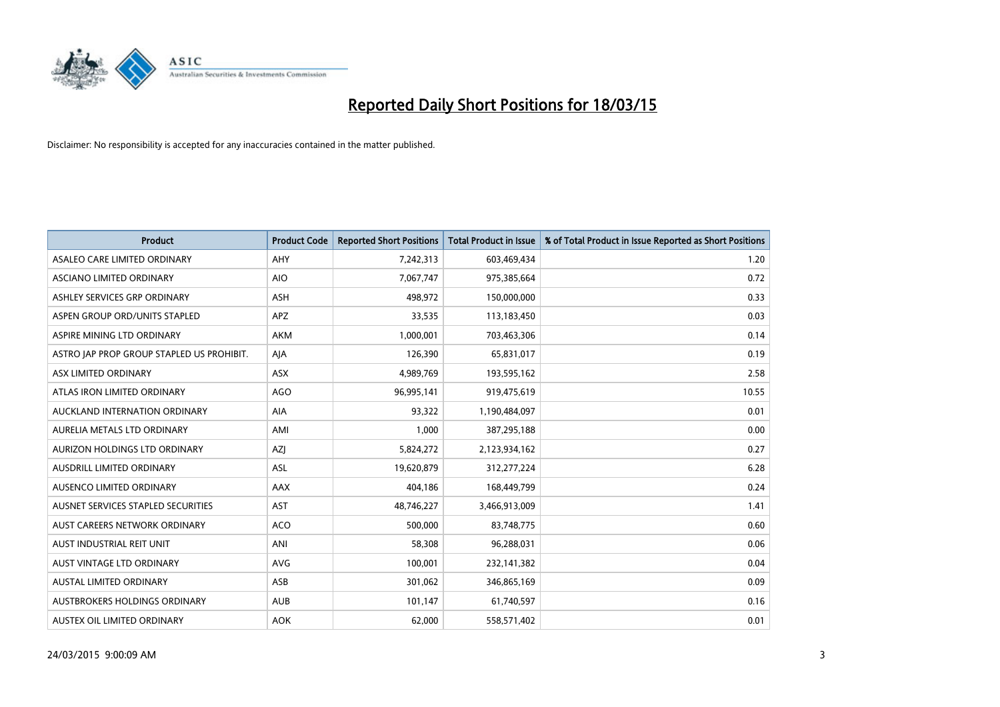

| <b>Product</b>                            | <b>Product Code</b> | <b>Reported Short Positions</b> | <b>Total Product in Issue</b> | % of Total Product in Issue Reported as Short Positions |
|-------------------------------------------|---------------------|---------------------------------|-------------------------------|---------------------------------------------------------|
| ASALEO CARE LIMITED ORDINARY              | AHY                 | 7,242,313                       | 603,469,434                   | 1.20                                                    |
| ASCIANO LIMITED ORDINARY                  | <b>AIO</b>          | 7,067,747                       | 975,385,664                   | 0.72                                                    |
| ASHLEY SERVICES GRP ORDINARY              | ASH                 | 498,972                         | 150,000,000                   | 0.33                                                    |
| ASPEN GROUP ORD/UNITS STAPLED             | APZ                 | 33,535                          | 113,183,450                   | 0.03                                                    |
| ASPIRE MINING LTD ORDINARY                | <b>AKM</b>          | 1,000,001                       | 703,463,306                   | 0.14                                                    |
| ASTRO JAP PROP GROUP STAPLED US PROHIBIT. | AJA                 | 126,390                         | 65,831,017                    | 0.19                                                    |
| ASX LIMITED ORDINARY                      | ASX                 | 4,989,769                       | 193,595,162                   | 2.58                                                    |
| ATLAS IRON LIMITED ORDINARY               | <b>AGO</b>          | 96,995,141                      | 919,475,619                   | 10.55                                                   |
| AUCKLAND INTERNATION ORDINARY             | <b>AIA</b>          | 93,322                          | 1,190,484,097                 | 0.01                                                    |
| AURELIA METALS LTD ORDINARY               | AMI                 | 1,000                           | 387,295,188                   | 0.00                                                    |
| AURIZON HOLDINGS LTD ORDINARY             | AZJ                 | 5,824,272                       | 2,123,934,162                 | 0.27                                                    |
| AUSDRILL LIMITED ORDINARY                 | <b>ASL</b>          | 19,620,879                      | 312,277,224                   | 6.28                                                    |
| AUSENCO LIMITED ORDINARY                  | AAX                 | 404,186                         | 168,449,799                   | 0.24                                                    |
| AUSNET SERVICES STAPLED SECURITIES        | <b>AST</b>          | 48,746,227                      | 3,466,913,009                 | 1.41                                                    |
| AUST CAREERS NETWORK ORDINARY             | <b>ACO</b>          | 500,000                         | 83,748,775                    | 0.60                                                    |
| AUST INDUSTRIAL REIT UNIT                 | ANI                 | 58,308                          | 96,288,031                    | 0.06                                                    |
| <b>AUST VINTAGE LTD ORDINARY</b>          | <b>AVG</b>          | 100,001                         | 232,141,382                   | 0.04                                                    |
| AUSTAL LIMITED ORDINARY                   | ASB                 | 301,062                         | 346,865,169                   | 0.09                                                    |
| AUSTBROKERS HOLDINGS ORDINARY             | <b>AUB</b>          | 101,147                         | 61,740,597                    | 0.16                                                    |
| AUSTEX OIL LIMITED ORDINARY               | <b>AOK</b>          | 62,000                          | 558,571,402                   | 0.01                                                    |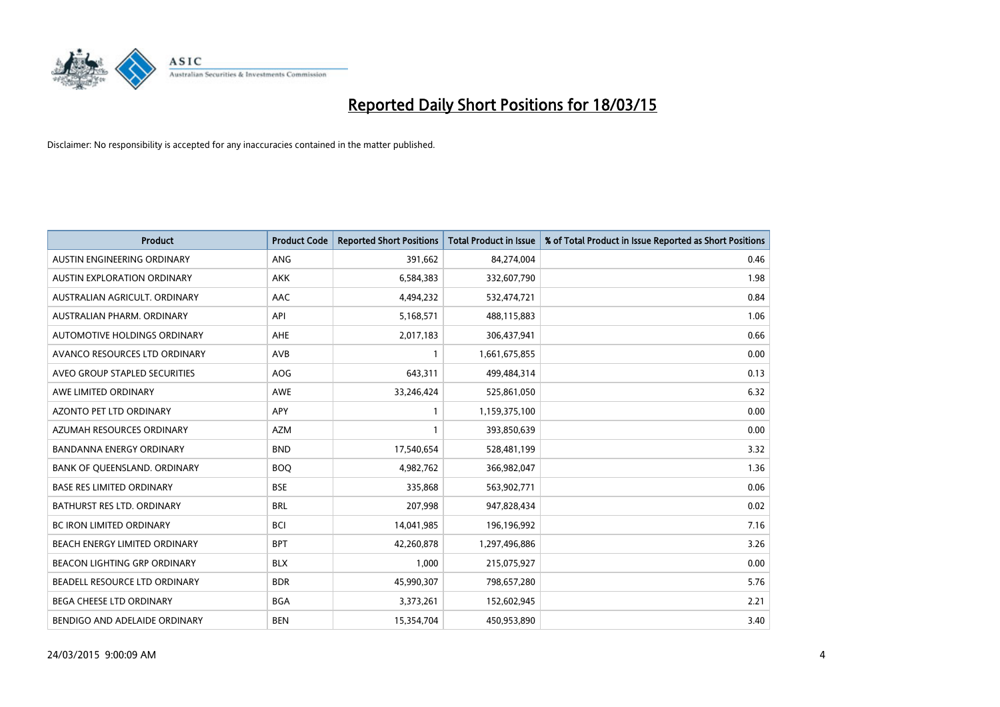

| <b>Product</b>                    | <b>Product Code</b> | <b>Reported Short Positions</b> | <b>Total Product in Issue</b> | % of Total Product in Issue Reported as Short Positions |
|-----------------------------------|---------------------|---------------------------------|-------------------------------|---------------------------------------------------------|
| AUSTIN ENGINEERING ORDINARY       | ANG                 | 391,662                         | 84,274,004                    | 0.46                                                    |
| AUSTIN EXPLORATION ORDINARY       | <b>AKK</b>          | 6,584,383                       | 332,607,790                   | 1.98                                                    |
| AUSTRALIAN AGRICULT, ORDINARY     | AAC                 | 4,494,232                       | 532,474,721                   | 0.84                                                    |
| AUSTRALIAN PHARM. ORDINARY        | API                 | 5,168,571                       | 488,115,883                   | 1.06                                                    |
| AUTOMOTIVE HOLDINGS ORDINARY      | AHE                 | 2,017,183                       | 306,437,941                   | 0.66                                                    |
| AVANCO RESOURCES LTD ORDINARY     | <b>AVB</b>          | 1                               | 1,661,675,855                 | 0.00                                                    |
| AVEO GROUP STAPLED SECURITIES     | AOG                 | 643,311                         | 499,484,314                   | 0.13                                                    |
| AWE LIMITED ORDINARY              | AWE                 | 33,246,424                      | 525,861,050                   | 6.32                                                    |
| <b>AZONTO PET LTD ORDINARY</b>    | APY                 | $\mathbf{1}$                    | 1,159,375,100                 | 0.00                                                    |
| AZUMAH RESOURCES ORDINARY         | <b>AZM</b>          | 1                               | 393,850,639                   | 0.00                                                    |
| BANDANNA ENERGY ORDINARY          | <b>BND</b>          | 17,540,654                      | 528,481,199                   | 3.32                                                    |
| BANK OF QUEENSLAND. ORDINARY      | <b>BOQ</b>          | 4,982,762                       | 366,982,047                   | 1.36                                                    |
| <b>BASE RES LIMITED ORDINARY</b>  | <b>BSE</b>          | 335,868                         | 563,902,771                   | 0.06                                                    |
| <b>BATHURST RES LTD. ORDINARY</b> | <b>BRL</b>          | 207,998                         | 947,828,434                   | 0.02                                                    |
| <b>BC IRON LIMITED ORDINARY</b>   | <b>BCI</b>          | 14,041,985                      | 196,196,992                   | 7.16                                                    |
| BEACH ENERGY LIMITED ORDINARY     | <b>BPT</b>          | 42,260,878                      | 1,297,496,886                 | 3.26                                                    |
| BEACON LIGHTING GRP ORDINARY      | <b>BLX</b>          | 1,000                           | 215,075,927                   | 0.00                                                    |
| BEADELL RESOURCE LTD ORDINARY     | <b>BDR</b>          | 45,990,307                      | 798,657,280                   | 5.76                                                    |
| <b>BEGA CHEESE LTD ORDINARY</b>   | <b>BGA</b>          | 3,373,261                       | 152,602,945                   | 2.21                                                    |
| BENDIGO AND ADELAIDE ORDINARY     | <b>BEN</b>          | 15,354,704                      | 450,953,890                   | 3.40                                                    |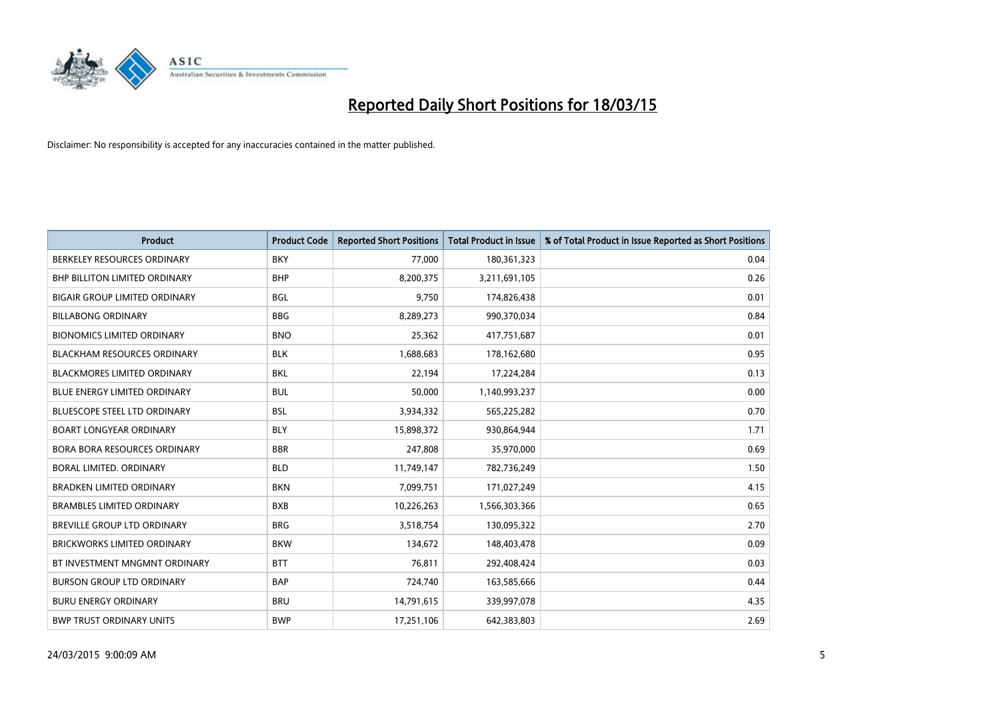

| <b>Product</b>                       | <b>Product Code</b> | <b>Reported Short Positions</b> | <b>Total Product in Issue</b> | % of Total Product in Issue Reported as Short Positions |
|--------------------------------------|---------------------|---------------------------------|-------------------------------|---------------------------------------------------------|
| BERKELEY RESOURCES ORDINARY          | <b>BKY</b>          | 77,000                          | 180,361,323                   | 0.04                                                    |
| <b>BHP BILLITON LIMITED ORDINARY</b> | <b>BHP</b>          | 8,200,375                       | 3,211,691,105                 | 0.26                                                    |
| <b>BIGAIR GROUP LIMITED ORDINARY</b> | <b>BGL</b>          | 9,750                           | 174,826,438                   | 0.01                                                    |
| <b>BILLABONG ORDINARY</b>            | <b>BBG</b>          | 8,289,273                       | 990,370,034                   | 0.84                                                    |
| <b>BIONOMICS LIMITED ORDINARY</b>    | <b>BNO</b>          | 25,362                          | 417,751,687                   | 0.01                                                    |
| <b>BLACKHAM RESOURCES ORDINARY</b>   | <b>BLK</b>          | 1,688,683                       | 178,162,680                   | 0.95                                                    |
| BLACKMORES LIMITED ORDINARY          | <b>BKL</b>          | 22,194                          | 17,224,284                    | 0.13                                                    |
| <b>BLUE ENERGY LIMITED ORDINARY</b>  | <b>BUL</b>          | 50,000                          | 1,140,993,237                 | 0.00                                                    |
| <b>BLUESCOPE STEEL LTD ORDINARY</b>  | <b>BSL</b>          | 3,934,332                       | 565,225,282                   | 0.70                                                    |
| <b>BOART LONGYEAR ORDINARY</b>       | <b>BLY</b>          | 15,898,372                      | 930,864,944                   | 1.71                                                    |
| <b>BORA BORA RESOURCES ORDINARY</b>  | <b>BBR</b>          | 247,808                         | 35,970,000                    | 0.69                                                    |
| BORAL LIMITED. ORDINARY              | <b>BLD</b>          | 11,749,147                      | 782,736,249                   | 1.50                                                    |
| <b>BRADKEN LIMITED ORDINARY</b>      | <b>BKN</b>          | 7,099,751                       | 171,027,249                   | 4.15                                                    |
| <b>BRAMBLES LIMITED ORDINARY</b>     | <b>BXB</b>          | 10,226,263                      | 1,566,303,366                 | 0.65                                                    |
| BREVILLE GROUP LTD ORDINARY          | <b>BRG</b>          | 3,518,754                       | 130,095,322                   | 2.70                                                    |
| <b>BRICKWORKS LIMITED ORDINARY</b>   | <b>BKW</b>          | 134,672                         | 148,403,478                   | 0.09                                                    |
| BT INVESTMENT MNGMNT ORDINARY        | <b>BTT</b>          | 76,811                          | 292,408,424                   | 0.03                                                    |
| <b>BURSON GROUP LTD ORDINARY</b>     | <b>BAP</b>          | 724,740                         | 163,585,666                   | 0.44                                                    |
| <b>BURU ENERGY ORDINARY</b>          | <b>BRU</b>          | 14,791,615                      | 339,997,078                   | 4.35                                                    |
| <b>BWP TRUST ORDINARY UNITS</b>      | <b>BWP</b>          | 17,251,106                      | 642,383,803                   | 2.69                                                    |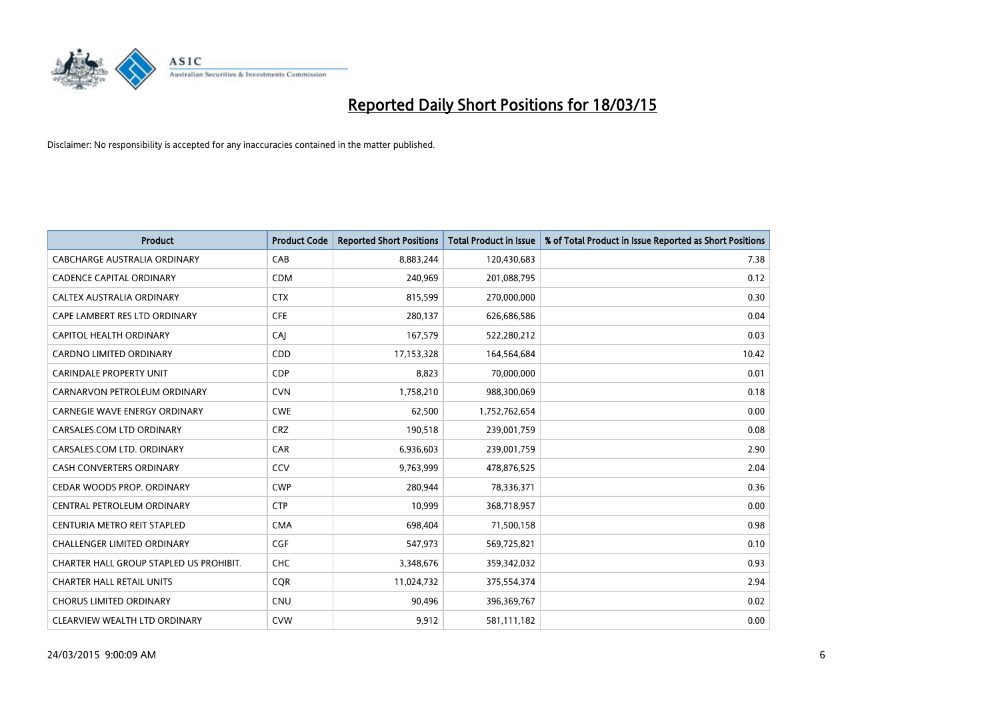

| <b>Product</b>                          | <b>Product Code</b> | <b>Reported Short Positions</b> | <b>Total Product in Issue</b> | % of Total Product in Issue Reported as Short Positions |
|-----------------------------------------|---------------------|---------------------------------|-------------------------------|---------------------------------------------------------|
| <b>CABCHARGE AUSTRALIA ORDINARY</b>     | CAB                 | 8,883,244                       | 120,430,683                   | 7.38                                                    |
| <b>CADENCE CAPITAL ORDINARY</b>         | <b>CDM</b>          | 240,969                         | 201,088,795                   | 0.12                                                    |
| CALTEX AUSTRALIA ORDINARY               | <b>CTX</b>          | 815,599                         | 270,000,000                   | 0.30                                                    |
| CAPE LAMBERT RES LTD ORDINARY           | <b>CFE</b>          | 280,137                         | 626,686,586                   | 0.04                                                    |
| <b>CAPITOL HEALTH ORDINARY</b>          | CAI                 | 167,579                         | 522,280,212                   | 0.03                                                    |
| <b>CARDNO LIMITED ORDINARY</b>          | CDD                 | 17,153,328                      | 164,564,684                   | 10.42                                                   |
| CARINDALE PROPERTY UNIT                 | <b>CDP</b>          | 8,823                           | 70,000,000                    | 0.01                                                    |
| CARNARVON PETROLEUM ORDINARY            | <b>CVN</b>          | 1,758,210                       | 988,300,069                   | 0.18                                                    |
| <b>CARNEGIE WAVE ENERGY ORDINARY</b>    | <b>CWE</b>          | 62,500                          | 1,752,762,654                 | 0.00                                                    |
| CARSALES.COM LTD ORDINARY               | <b>CRZ</b>          | 190,518                         | 239,001,759                   | 0.08                                                    |
| CARSALES.COM LTD. ORDINARY              | <b>CAR</b>          | 6,936,603                       | 239,001,759                   | 2.90                                                    |
| <b>CASH CONVERTERS ORDINARY</b>         | CCV                 | 9,763,999                       | 478,876,525                   | 2.04                                                    |
| CEDAR WOODS PROP. ORDINARY              | <b>CWP</b>          | 280,944                         | 78,336,371                    | 0.36                                                    |
| CENTRAL PETROLEUM ORDINARY              | <b>CTP</b>          | 10,999                          | 368,718,957                   | 0.00                                                    |
| CENTURIA METRO REIT STAPLED             | <b>CMA</b>          | 698,404                         | 71,500,158                    | 0.98                                                    |
| CHALLENGER LIMITED ORDINARY             | <b>CGF</b>          | 547,973                         | 569,725,821                   | 0.10                                                    |
| CHARTER HALL GROUP STAPLED US PROHIBIT. | <b>CHC</b>          | 3,348,676                       | 359,342,032                   | 0.93                                                    |
| <b>CHARTER HALL RETAIL UNITS</b>        | <b>CQR</b>          | 11,024,732                      | 375,554,374                   | 2.94                                                    |
| <b>CHORUS LIMITED ORDINARY</b>          | <b>CNU</b>          | 90,496                          | 396,369,767                   | 0.02                                                    |
| CLEARVIEW WEALTH LTD ORDINARY           | <b>CVW</b>          | 9,912                           | 581,111,182                   | 0.00                                                    |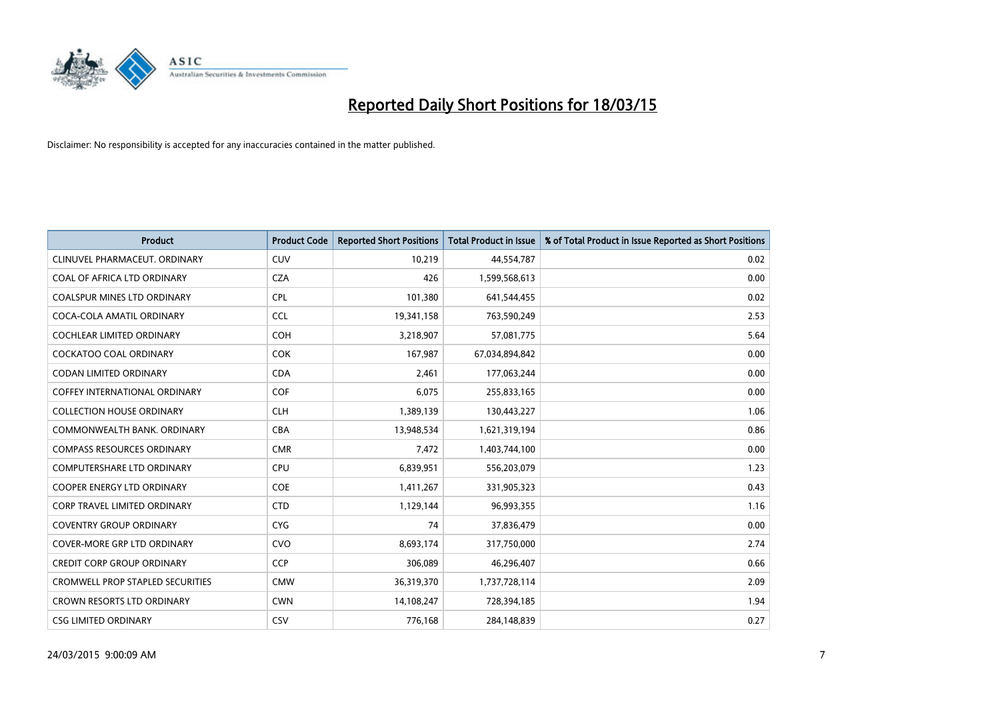

| <b>Product</b>                          | <b>Product Code</b> | <b>Reported Short Positions</b> | <b>Total Product in Issue</b> | % of Total Product in Issue Reported as Short Positions |
|-----------------------------------------|---------------------|---------------------------------|-------------------------------|---------------------------------------------------------|
| CLINUVEL PHARMACEUT, ORDINARY           | <b>CUV</b>          | 10,219                          | 44,554,787                    | 0.02                                                    |
| COAL OF AFRICA LTD ORDINARY             | <b>CZA</b>          | 426                             | 1,599,568,613                 | 0.00                                                    |
| COALSPUR MINES LTD ORDINARY             | <b>CPL</b>          | 101,380                         | 641,544,455                   | 0.02                                                    |
| COCA-COLA AMATIL ORDINARY               | <b>CCL</b>          | 19,341,158                      | 763,590,249                   | 2.53                                                    |
| <b>COCHLEAR LIMITED ORDINARY</b>        | <b>COH</b>          | 3,218,907                       | 57,081,775                    | 5.64                                                    |
| <b>COCKATOO COAL ORDINARY</b>           | COK                 | 167,987                         | 67,034,894,842                | 0.00                                                    |
| CODAN LIMITED ORDINARY                  | <b>CDA</b>          | 2,461                           | 177,063,244                   | 0.00                                                    |
| COFFEY INTERNATIONAL ORDINARY           | <b>COF</b>          | 6,075                           | 255,833,165                   | 0.00                                                    |
| <b>COLLECTION HOUSE ORDINARY</b>        | <b>CLH</b>          | 1,389,139                       | 130,443,227                   | 1.06                                                    |
| COMMONWEALTH BANK, ORDINARY             | <b>CBA</b>          | 13,948,534                      | 1,621,319,194                 | 0.86                                                    |
| <b>COMPASS RESOURCES ORDINARY</b>       | <b>CMR</b>          | 7,472                           | 1,403,744,100                 | 0.00                                                    |
| <b>COMPUTERSHARE LTD ORDINARY</b>       | <b>CPU</b>          | 6,839,951                       | 556,203,079                   | 1.23                                                    |
| COOPER ENERGY LTD ORDINARY              | <b>COE</b>          | 1,411,267                       | 331,905,323                   | 0.43                                                    |
| <b>CORP TRAVEL LIMITED ORDINARY</b>     | <b>CTD</b>          | 1,129,144                       | 96,993,355                    | 1.16                                                    |
| <b>COVENTRY GROUP ORDINARY</b>          | <b>CYG</b>          | 74                              | 37,836,479                    | 0.00                                                    |
| <b>COVER-MORE GRP LTD ORDINARY</b>      | <b>CVO</b>          | 8,693,174                       | 317,750,000                   | 2.74                                                    |
| <b>CREDIT CORP GROUP ORDINARY</b>       | <b>CCP</b>          | 306,089                         | 46,296,407                    | 0.66                                                    |
| <b>CROMWELL PROP STAPLED SECURITIES</b> | <b>CMW</b>          | 36,319,370                      | 1,737,728,114                 | 2.09                                                    |
| <b>CROWN RESORTS LTD ORDINARY</b>       | <b>CWN</b>          | 14,108,247                      | 728,394,185                   | 1.94                                                    |
| <b>CSG LIMITED ORDINARY</b>             | <b>CSV</b>          | 776,168                         | 284,148,839                   | 0.27                                                    |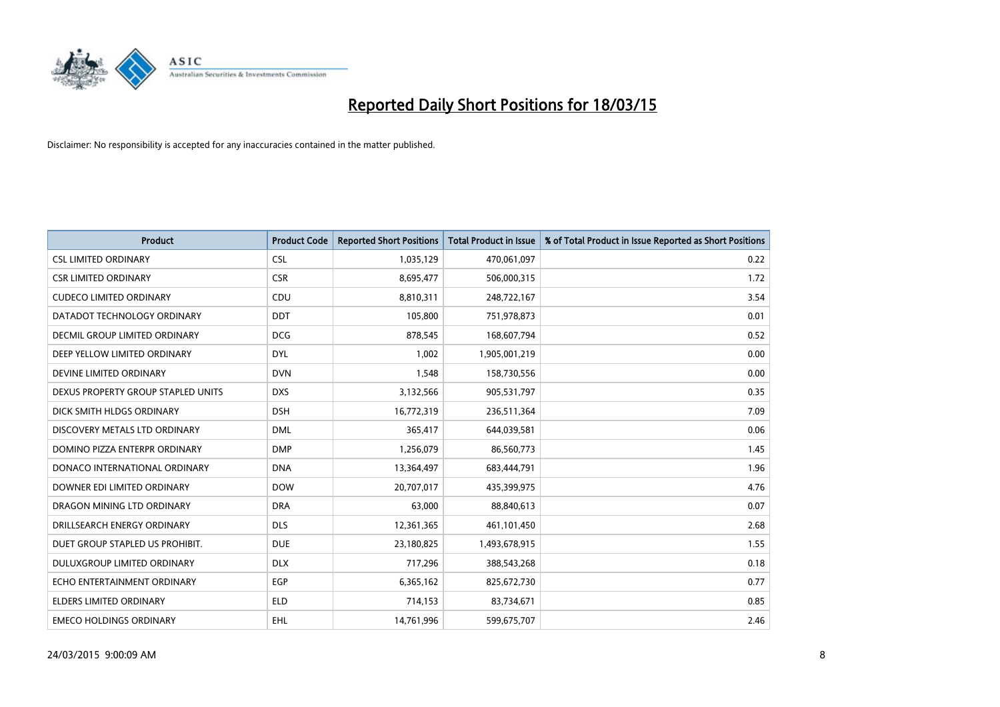

| <b>Product</b>                       | <b>Product Code</b> | <b>Reported Short Positions</b> | <b>Total Product in Issue</b> | % of Total Product in Issue Reported as Short Positions |
|--------------------------------------|---------------------|---------------------------------|-------------------------------|---------------------------------------------------------|
| <b>CSL LIMITED ORDINARY</b>          | <b>CSL</b>          | 1,035,129                       | 470,061,097                   | 0.22                                                    |
| <b>CSR LIMITED ORDINARY</b>          | <b>CSR</b>          | 8,695,477                       | 506,000,315                   | 1.72                                                    |
| <b>CUDECO LIMITED ORDINARY</b>       | CDU                 | 8,810,311                       | 248,722,167                   | 3.54                                                    |
| DATADOT TECHNOLOGY ORDINARY          | <b>DDT</b>          | 105,800                         | 751,978,873                   | 0.01                                                    |
| <b>DECMIL GROUP LIMITED ORDINARY</b> | <b>DCG</b>          | 878,545                         | 168,607,794                   | 0.52                                                    |
| DEEP YELLOW LIMITED ORDINARY         | <b>DYL</b>          | 1,002                           | 1,905,001,219                 | 0.00                                                    |
| DEVINE LIMITED ORDINARY              | <b>DVN</b>          | 1,548                           | 158,730,556                   | 0.00                                                    |
| DEXUS PROPERTY GROUP STAPLED UNITS   | <b>DXS</b>          | 3,132,566                       | 905,531,797                   | 0.35                                                    |
| DICK SMITH HLDGS ORDINARY            | <b>DSH</b>          | 16,772,319                      | 236,511,364                   | 7.09                                                    |
| DISCOVERY METALS LTD ORDINARY        | <b>DML</b>          | 365,417                         | 644,039,581                   | 0.06                                                    |
| DOMINO PIZZA ENTERPR ORDINARY        | <b>DMP</b>          | 1,256,079                       | 86,560,773                    | 1.45                                                    |
| DONACO INTERNATIONAL ORDINARY        | <b>DNA</b>          | 13,364,497                      | 683,444,791                   | 1.96                                                    |
| DOWNER EDI LIMITED ORDINARY          | <b>DOW</b>          | 20,707,017                      | 435,399,975                   | 4.76                                                    |
| DRAGON MINING LTD ORDINARY           | <b>DRA</b>          | 63,000                          | 88,840,613                    | 0.07                                                    |
| DRILLSEARCH ENERGY ORDINARY          | <b>DLS</b>          | 12,361,365                      | 461,101,450                   | 2.68                                                    |
| DUET GROUP STAPLED US PROHIBIT.      | <b>DUE</b>          | 23,180,825                      | 1,493,678,915                 | 1.55                                                    |
| DULUXGROUP LIMITED ORDINARY          | <b>DLX</b>          | 717,296                         | 388,543,268                   | 0.18                                                    |
| ECHO ENTERTAINMENT ORDINARY          | <b>EGP</b>          | 6,365,162                       | 825,672,730                   | 0.77                                                    |
| <b>ELDERS LIMITED ORDINARY</b>       | <b>ELD</b>          | 714,153                         | 83,734,671                    | 0.85                                                    |
| <b>EMECO HOLDINGS ORDINARY</b>       | EHL                 | 14,761,996                      | 599,675,707                   | 2.46                                                    |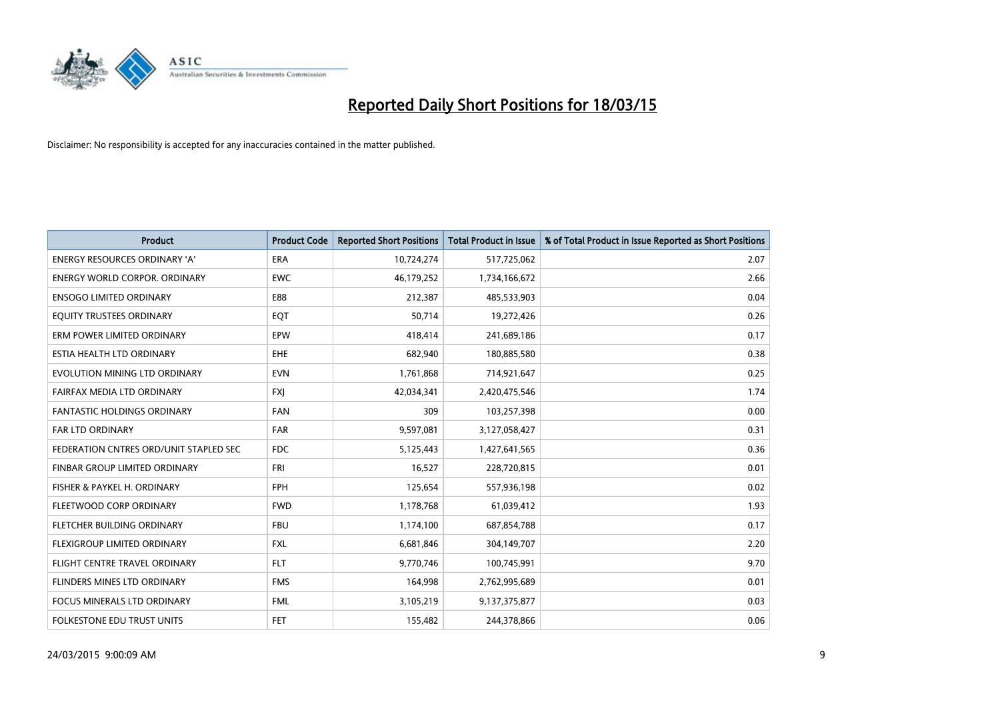

| <b>Product</b>                         | <b>Product Code</b> | <b>Reported Short Positions</b> | <b>Total Product in Issue</b> | % of Total Product in Issue Reported as Short Positions |
|----------------------------------------|---------------------|---------------------------------|-------------------------------|---------------------------------------------------------|
| <b>ENERGY RESOURCES ORDINARY 'A'</b>   | <b>ERA</b>          | 10,724,274                      | 517,725,062                   | 2.07                                                    |
| <b>ENERGY WORLD CORPOR. ORDINARY</b>   | <b>EWC</b>          | 46,179,252                      | 1,734,166,672                 | 2.66                                                    |
| <b>ENSOGO LIMITED ORDINARY</b>         | E88                 | 212,387                         | 485,533,903                   | 0.04                                                    |
| EQUITY TRUSTEES ORDINARY               | EQT                 | 50,714                          | 19,272,426                    | 0.26                                                    |
| ERM POWER LIMITED ORDINARY             | EPW                 | 418,414                         | 241,689,186                   | 0.17                                                    |
| ESTIA HEALTH LTD ORDINARY              | EHE                 | 682,940                         | 180,885,580                   | 0.38                                                    |
| EVOLUTION MINING LTD ORDINARY          | <b>EVN</b>          | 1,761,868                       | 714,921,647                   | 0.25                                                    |
| FAIRFAX MEDIA LTD ORDINARY             | <b>FXI</b>          | 42,034,341                      | 2,420,475,546                 | 1.74                                                    |
| <b>FANTASTIC HOLDINGS ORDINARY</b>     | <b>FAN</b>          | 309                             | 103,257,398                   | 0.00                                                    |
| <b>FAR LTD ORDINARY</b>                | <b>FAR</b>          | 9,597,081                       | 3,127,058,427                 | 0.31                                                    |
| FEDERATION CNTRES ORD/UNIT STAPLED SEC | <b>FDC</b>          | 5,125,443                       | 1,427,641,565                 | 0.36                                                    |
| <b>FINBAR GROUP LIMITED ORDINARY</b>   | <b>FRI</b>          | 16,527                          | 228,720,815                   | 0.01                                                    |
| FISHER & PAYKEL H. ORDINARY            | <b>FPH</b>          | 125,654                         | 557,936,198                   | 0.02                                                    |
| FLEETWOOD CORP ORDINARY                | <b>FWD</b>          | 1,178,768                       | 61,039,412                    | 1.93                                                    |
| FLETCHER BUILDING ORDINARY             | <b>FBU</b>          | 1,174,100                       | 687,854,788                   | 0.17                                                    |
| FLEXIGROUP LIMITED ORDINARY            | FXL                 | 6,681,846                       | 304,149,707                   | 2.20                                                    |
| FLIGHT CENTRE TRAVEL ORDINARY          | <b>FLT</b>          | 9,770,746                       | 100,745,991                   | 9.70                                                    |
| FLINDERS MINES LTD ORDINARY            | <b>FMS</b>          | 164,998                         | 2,762,995,689                 | 0.01                                                    |
| <b>FOCUS MINERALS LTD ORDINARY</b>     | <b>FML</b>          | 3,105,219                       | 9,137,375,877                 | 0.03                                                    |
| FOLKESTONE EDU TRUST UNITS             | <b>FET</b>          | 155,482                         | 244,378,866                   | 0.06                                                    |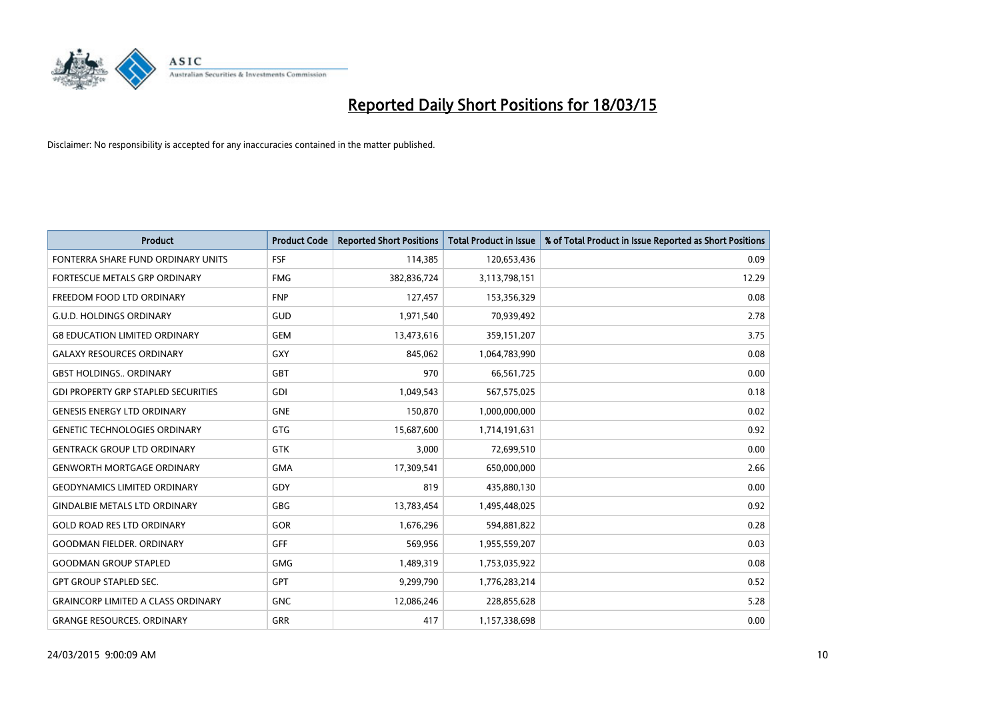

| <b>Product</b>                             | <b>Product Code</b> | <b>Reported Short Positions</b> | <b>Total Product in Issue</b> | % of Total Product in Issue Reported as Short Positions |
|--------------------------------------------|---------------------|---------------------------------|-------------------------------|---------------------------------------------------------|
| FONTERRA SHARE FUND ORDINARY UNITS         | <b>FSF</b>          | 114,385                         | 120,653,436                   | 0.09                                                    |
| FORTESCUE METALS GRP ORDINARY              | <b>FMG</b>          | 382,836,724                     | 3,113,798,151                 | 12.29                                                   |
| FREEDOM FOOD LTD ORDINARY                  | <b>FNP</b>          | 127,457                         | 153,356,329                   | 0.08                                                    |
| <b>G.U.D. HOLDINGS ORDINARY</b>            | GUD                 | 1,971,540                       | 70,939,492                    | 2.78                                                    |
| <b>G8 EDUCATION LIMITED ORDINARY</b>       | <b>GEM</b>          | 13,473,616                      | 359,151,207                   | 3.75                                                    |
| <b>GALAXY RESOURCES ORDINARY</b>           | <b>GXY</b>          | 845,062                         | 1,064,783,990                 | 0.08                                                    |
| <b>GBST HOLDINGS., ORDINARY</b>            | <b>GBT</b>          | 970                             | 66,561,725                    | 0.00                                                    |
| <b>GDI PROPERTY GRP STAPLED SECURITIES</b> | <b>GDI</b>          | 1,049,543                       | 567,575,025                   | 0.18                                                    |
| <b>GENESIS ENERGY LTD ORDINARY</b>         | <b>GNE</b>          | 150,870                         | 1,000,000,000                 | 0.02                                                    |
| <b>GENETIC TECHNOLOGIES ORDINARY</b>       | <b>GTG</b>          | 15,687,600                      | 1,714,191,631                 | 0.92                                                    |
| <b>GENTRACK GROUP LTD ORDINARY</b>         | <b>GTK</b>          | 3,000                           | 72,699,510                    | 0.00                                                    |
| <b>GENWORTH MORTGAGE ORDINARY</b>          | <b>GMA</b>          | 17,309,541                      | 650,000,000                   | 2.66                                                    |
| <b>GEODYNAMICS LIMITED ORDINARY</b>        | GDY                 | 819                             | 435,880,130                   | 0.00                                                    |
| <b>GINDALBIE METALS LTD ORDINARY</b>       | <b>GBG</b>          | 13,783,454                      | 1,495,448,025                 | 0.92                                                    |
| <b>GOLD ROAD RES LTD ORDINARY</b>          | GOR                 | 1,676,296                       | 594,881,822                   | 0.28                                                    |
| <b>GOODMAN FIELDER, ORDINARY</b>           | <b>GFF</b>          | 569,956                         | 1,955,559,207                 | 0.03                                                    |
| <b>GOODMAN GROUP STAPLED</b>               | <b>GMG</b>          | 1,489,319                       | 1,753,035,922                 | 0.08                                                    |
| <b>GPT GROUP STAPLED SEC.</b>              | GPT                 | 9,299,790                       | 1,776,283,214                 | 0.52                                                    |
| <b>GRAINCORP LIMITED A CLASS ORDINARY</b>  | <b>GNC</b>          | 12,086,246                      | 228,855,628                   | 5.28                                                    |
| <b>GRANGE RESOURCES. ORDINARY</b>          | GRR                 | 417                             | 1,157,338,698                 | 0.00                                                    |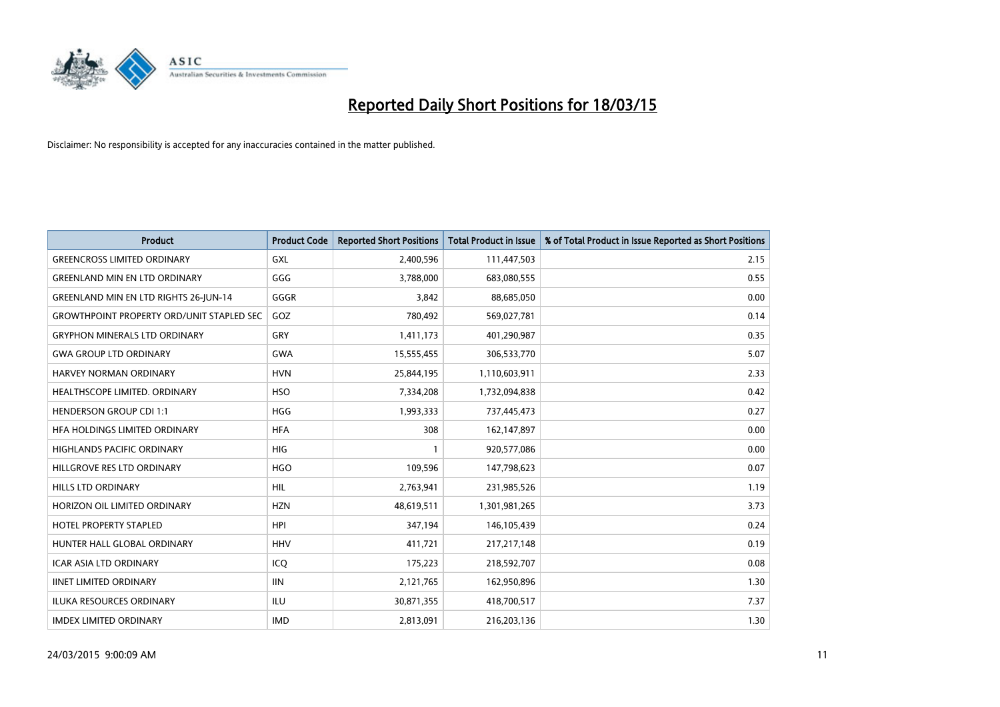

| <b>Product</b>                                   | <b>Product Code</b> | <b>Reported Short Positions</b> | <b>Total Product in Issue</b> | % of Total Product in Issue Reported as Short Positions |
|--------------------------------------------------|---------------------|---------------------------------|-------------------------------|---------------------------------------------------------|
| <b>GREENCROSS LIMITED ORDINARY</b>               | GXL                 | 2,400,596                       | 111,447,503                   | 2.15                                                    |
| <b>GREENLAND MIN EN LTD ORDINARY</b>             | GGG                 | 3,788,000                       | 683,080,555                   | 0.55                                                    |
| <b>GREENLAND MIN EN LTD RIGHTS 26-JUN-14</b>     | GGGR                | 3,842                           | 88,685,050                    | 0.00                                                    |
| <b>GROWTHPOINT PROPERTY ORD/UNIT STAPLED SEC</b> | GOZ                 | 780,492                         | 569,027,781                   | 0.14                                                    |
| <b>GRYPHON MINERALS LTD ORDINARY</b>             | GRY                 | 1,411,173                       | 401,290,987                   | 0.35                                                    |
| <b>GWA GROUP LTD ORDINARY</b>                    | <b>GWA</b>          | 15,555,455                      | 306,533,770                   | 5.07                                                    |
| HARVEY NORMAN ORDINARY                           | <b>HVN</b>          | 25,844,195                      | 1,110,603,911                 | 2.33                                                    |
| HEALTHSCOPE LIMITED. ORDINARY                    | <b>HSO</b>          | 7,334,208                       | 1,732,094,838                 | 0.42                                                    |
| <b>HENDERSON GROUP CDI 1:1</b>                   | <b>HGG</b>          | 1,993,333                       | 737,445,473                   | 0.27                                                    |
| HEA HOLDINGS LIMITED ORDINARY                    | <b>HFA</b>          | 308                             | 162,147,897                   | 0.00                                                    |
| HIGHLANDS PACIFIC ORDINARY                       | <b>HIG</b>          | 1                               | 920,577,086                   | 0.00                                                    |
| HILLGROVE RES LTD ORDINARY                       | <b>HGO</b>          | 109,596                         | 147,798,623                   | 0.07                                                    |
| HILLS LTD ORDINARY                               | HIL                 | 2,763,941                       | 231,985,526                   | 1.19                                                    |
| HORIZON OIL LIMITED ORDINARY                     | <b>HZN</b>          | 48,619,511                      | 1,301,981,265                 | 3.73                                                    |
| <b>HOTEL PROPERTY STAPLED</b>                    | <b>HPI</b>          | 347,194                         | 146,105,439                   | 0.24                                                    |
| HUNTER HALL GLOBAL ORDINARY                      | <b>HHV</b>          | 411,721                         | 217, 217, 148                 | 0.19                                                    |
| <b>ICAR ASIA LTD ORDINARY</b>                    | ICQ                 | 175,223                         | 218,592,707                   | 0.08                                                    |
| <b>IINET LIMITED ORDINARY</b>                    | <b>IIN</b>          | 2,121,765                       | 162,950,896                   | 1.30                                                    |
| <b>ILUKA RESOURCES ORDINARY</b>                  | <b>ILU</b>          | 30,871,355                      | 418,700,517                   | 7.37                                                    |
| <b>IMDEX LIMITED ORDINARY</b>                    | <b>IMD</b>          | 2,813,091                       | 216,203,136                   | 1.30                                                    |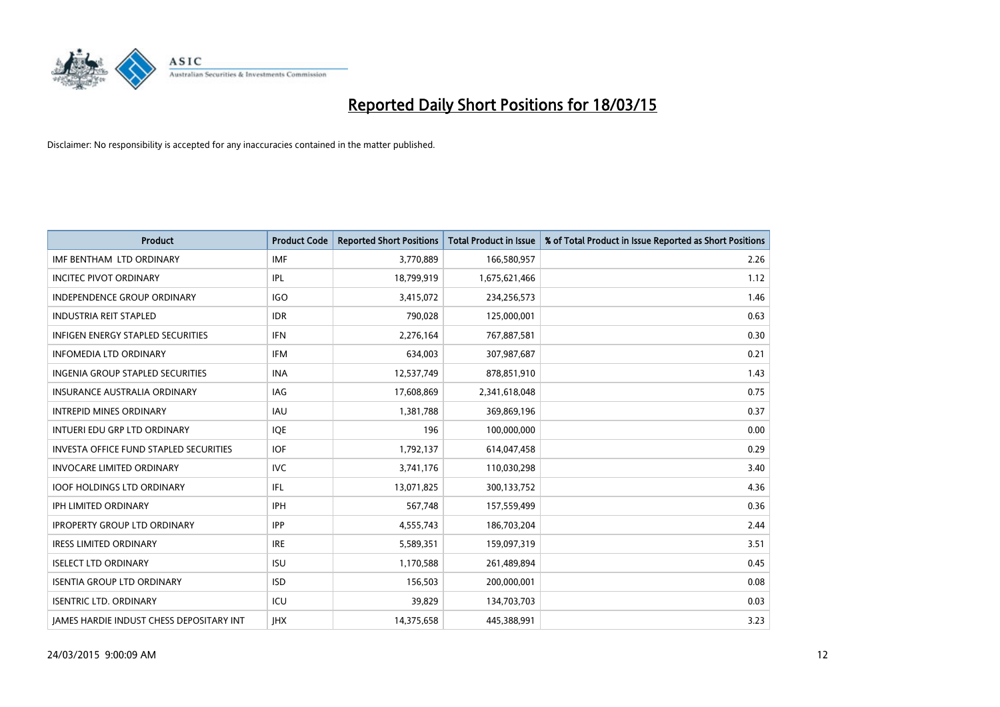

| <b>Product</b>                                  | <b>Product Code</b> | <b>Reported Short Positions</b> | <b>Total Product in Issue</b> | % of Total Product in Issue Reported as Short Positions |
|-------------------------------------------------|---------------------|---------------------------------|-------------------------------|---------------------------------------------------------|
| IMF BENTHAM LTD ORDINARY                        | <b>IMF</b>          | 3,770,889                       | 166,580,957                   | 2.26                                                    |
| <b>INCITEC PIVOT ORDINARY</b>                   | IPL                 | 18,799,919                      | 1,675,621,466                 | 1.12                                                    |
| <b>INDEPENDENCE GROUP ORDINARY</b>              | <b>IGO</b>          | 3,415,072                       | 234,256,573                   | 1.46                                                    |
| <b>INDUSTRIA REIT STAPLED</b>                   | <b>IDR</b>          | 790,028                         | 125,000,001                   | 0.63                                                    |
| <b>INFIGEN ENERGY STAPLED SECURITIES</b>        | <b>IFN</b>          | 2,276,164                       | 767,887,581                   | 0.30                                                    |
| <b>INFOMEDIA LTD ORDINARY</b>                   | <b>IFM</b>          | 634,003                         | 307,987,687                   | 0.21                                                    |
| <b>INGENIA GROUP STAPLED SECURITIES</b>         | <b>INA</b>          | 12,537,749                      | 878,851,910                   | 1.43                                                    |
| <b>INSURANCE AUSTRALIA ORDINARY</b>             | IAG                 | 17,608,869                      | 2,341,618,048                 | 0.75                                                    |
| <b>INTREPID MINES ORDINARY</b>                  | IAU                 | 1,381,788                       | 369,869,196                   | 0.37                                                    |
| INTUERI EDU GRP LTD ORDINARY                    | IQE                 | 196                             | 100,000,000                   | 0.00                                                    |
| <b>INVESTA OFFICE FUND STAPLED SECURITIES</b>   | <b>IOF</b>          | 1,792,137                       | 614,047,458                   | 0.29                                                    |
| <b>INVOCARE LIMITED ORDINARY</b>                | <b>IVC</b>          | 3,741,176                       | 110,030,298                   | 3.40                                                    |
| IOOF HOLDINGS LTD ORDINARY                      | IFL                 | 13,071,825                      | 300,133,752                   | 4.36                                                    |
| <b>IPH LIMITED ORDINARY</b>                     | <b>IPH</b>          | 567,748                         | 157,559,499                   | 0.36                                                    |
| <b>IPROPERTY GROUP LTD ORDINARY</b>             | <b>IPP</b>          | 4,555,743                       | 186,703,204                   | 2.44                                                    |
| <b>IRESS LIMITED ORDINARY</b>                   | <b>IRE</b>          | 5,589,351                       | 159,097,319                   | 3.51                                                    |
| <b>ISELECT LTD ORDINARY</b>                     | <b>ISU</b>          | 1,170,588                       | 261,489,894                   | 0.45                                                    |
| <b>ISENTIA GROUP LTD ORDINARY</b>               | <b>ISD</b>          | 156,503                         | 200,000,001                   | 0.08                                                    |
| <b>ISENTRIC LTD. ORDINARY</b>                   | ICU                 | 39,829                          | 134,703,703                   | 0.03                                                    |
| <b>IAMES HARDIE INDUST CHESS DEPOSITARY INT</b> | <b>IHX</b>          | 14,375,658                      | 445,388,991                   | 3.23                                                    |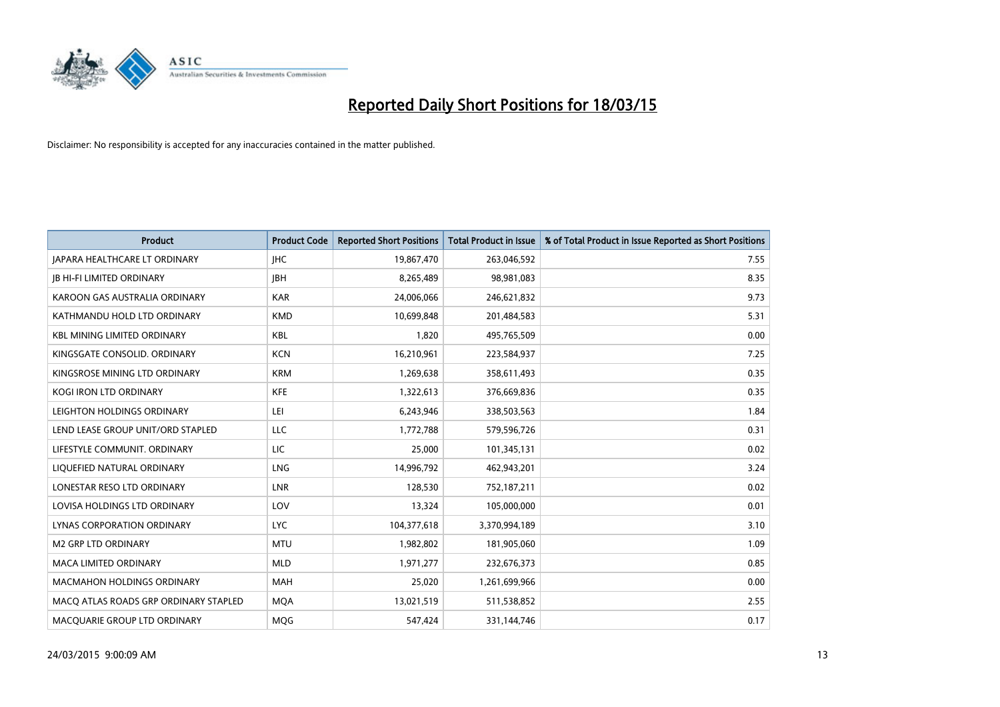

| <b>Product</b>                        | <b>Product Code</b> | <b>Reported Short Positions</b> | <b>Total Product in Issue</b> | % of Total Product in Issue Reported as Short Positions |
|---------------------------------------|---------------------|---------------------------------|-------------------------------|---------------------------------------------------------|
| <b>JAPARA HEALTHCARE LT ORDINARY</b>  | <b>IHC</b>          | 19,867,470                      | 263,046,592                   | 7.55                                                    |
| <b>JB HI-FI LIMITED ORDINARY</b>      | <b>IBH</b>          | 8,265,489                       | 98,981,083                    | 8.35                                                    |
| KAROON GAS AUSTRALIA ORDINARY         | <b>KAR</b>          | 24,006,066                      | 246,621,832                   | 9.73                                                    |
| KATHMANDU HOLD LTD ORDINARY           | <b>KMD</b>          | 10,699,848                      | 201,484,583                   | 5.31                                                    |
| <b>KBL MINING LIMITED ORDINARY</b>    | <b>KBL</b>          | 1,820                           | 495,765,509                   | 0.00                                                    |
| KINGSGATE CONSOLID, ORDINARY          | <b>KCN</b>          | 16,210,961                      | 223,584,937                   | 7.25                                                    |
| KINGSROSE MINING LTD ORDINARY         | <b>KRM</b>          | 1,269,638                       | 358,611,493                   | 0.35                                                    |
| KOGI IRON LTD ORDINARY                | <b>KFE</b>          | 1,322,613                       | 376,669,836                   | 0.35                                                    |
| LEIGHTON HOLDINGS ORDINARY            | LEI                 | 6,243,946                       | 338,503,563                   | 1.84                                                    |
| LEND LEASE GROUP UNIT/ORD STAPLED     | <b>LLC</b>          | 1,772,788                       | 579,596,726                   | 0.31                                                    |
| LIFESTYLE COMMUNIT. ORDINARY          | LIC                 | 25,000                          | 101,345,131                   | 0.02                                                    |
| LIQUEFIED NATURAL ORDINARY            | <b>LNG</b>          | 14,996,792                      | 462,943,201                   | 3.24                                                    |
| LONESTAR RESO LTD ORDINARY            | <b>LNR</b>          | 128,530                         | 752,187,211                   | 0.02                                                    |
| LOVISA HOLDINGS LTD ORDINARY          | LOV                 | 13,324                          | 105,000,000                   | 0.01                                                    |
| LYNAS CORPORATION ORDINARY            | <b>LYC</b>          | 104,377,618                     | 3,370,994,189                 | 3.10                                                    |
| <b>M2 GRP LTD ORDINARY</b>            | <b>MTU</b>          | 1,982,802                       | 181,905,060                   | 1.09                                                    |
| MACA LIMITED ORDINARY                 | <b>MLD</b>          | 1,971,277                       | 232,676,373                   | 0.85                                                    |
| <b>MACMAHON HOLDINGS ORDINARY</b>     | <b>MAH</b>          | 25,020                          | 1,261,699,966                 | 0.00                                                    |
| MACO ATLAS ROADS GRP ORDINARY STAPLED | <b>MOA</b>          | 13,021,519                      | 511,538,852                   | 2.55                                                    |
| MACQUARIE GROUP LTD ORDINARY          | <b>MOG</b>          | 547,424                         | 331,144,746                   | 0.17                                                    |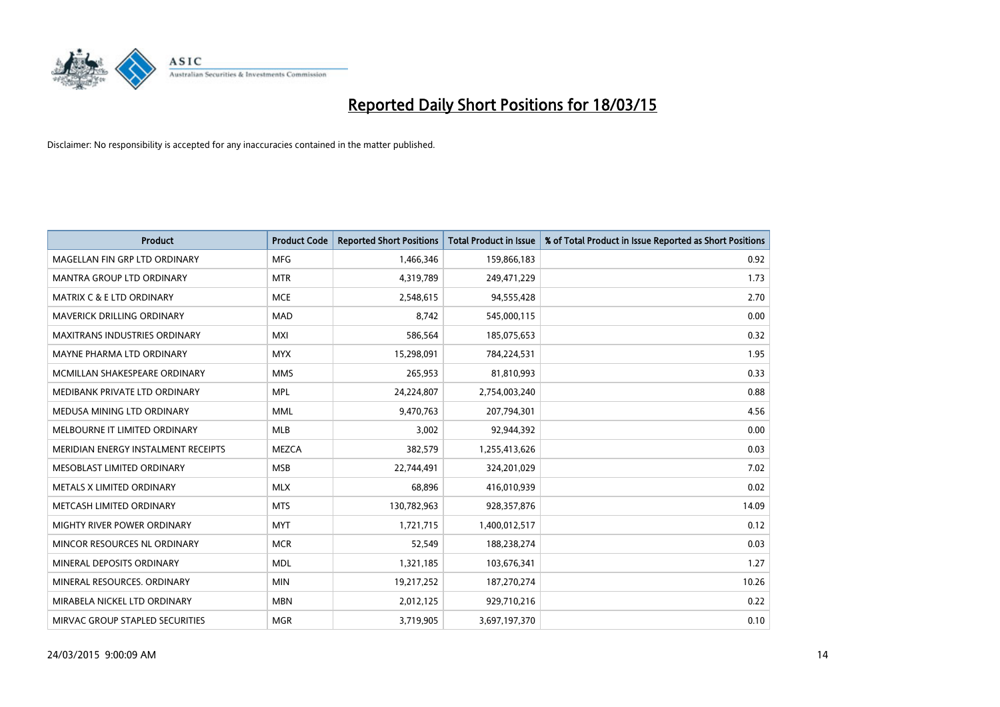

| <b>Product</b>                       | <b>Product Code</b> | <b>Reported Short Positions</b> | <b>Total Product in Issue</b> | % of Total Product in Issue Reported as Short Positions |
|--------------------------------------|---------------------|---------------------------------|-------------------------------|---------------------------------------------------------|
| MAGELLAN FIN GRP LTD ORDINARY        | <b>MFG</b>          | 1,466,346                       | 159,866,183                   | 0.92                                                    |
| MANTRA GROUP LTD ORDINARY            | <b>MTR</b>          | 4,319,789                       | 249,471,229                   | 1.73                                                    |
| <b>MATRIX C &amp; E LTD ORDINARY</b> | <b>MCE</b>          | 2,548,615                       | 94,555,428                    | 2.70                                                    |
| MAVERICK DRILLING ORDINARY           | <b>MAD</b>          | 8,742                           | 545,000,115                   | 0.00                                                    |
| <b>MAXITRANS INDUSTRIES ORDINARY</b> | <b>MXI</b>          | 586,564                         | 185,075,653                   | 0.32                                                    |
| MAYNE PHARMA LTD ORDINARY            | <b>MYX</b>          | 15,298,091                      | 784,224,531                   | 1.95                                                    |
| MCMILLAN SHAKESPEARE ORDINARY        | <b>MMS</b>          | 265,953                         | 81,810,993                    | 0.33                                                    |
| MEDIBANK PRIVATE LTD ORDINARY        | <b>MPL</b>          | 24,224,807                      | 2,754,003,240                 | 0.88                                                    |
| MEDUSA MINING LTD ORDINARY           | <b>MML</b>          | 9,470,763                       | 207,794,301                   | 4.56                                                    |
| MELBOURNE IT LIMITED ORDINARY        | <b>MLB</b>          | 3,002                           | 92,944,392                    | 0.00                                                    |
| MERIDIAN ENERGY INSTALMENT RECEIPTS  | <b>MEZCA</b>        | 382,579                         | 1,255,413,626                 | 0.03                                                    |
| MESOBLAST LIMITED ORDINARY           | <b>MSB</b>          | 22,744,491                      | 324,201,029                   | 7.02                                                    |
| METALS X LIMITED ORDINARY            | <b>MLX</b>          | 68,896                          | 416,010,939                   | 0.02                                                    |
| METCASH LIMITED ORDINARY             | <b>MTS</b>          | 130,782,963                     | 928,357,876                   | 14.09                                                   |
| MIGHTY RIVER POWER ORDINARY          | <b>MYT</b>          | 1,721,715                       | 1,400,012,517                 | 0.12                                                    |
| MINCOR RESOURCES NL ORDINARY         | <b>MCR</b>          | 52,549                          | 188,238,274                   | 0.03                                                    |
| MINERAL DEPOSITS ORDINARY            | <b>MDL</b>          | 1,321,185                       | 103,676,341                   | 1.27                                                    |
| MINERAL RESOURCES. ORDINARY          | <b>MIN</b>          | 19,217,252                      | 187,270,274                   | 10.26                                                   |
| MIRABELA NICKEL LTD ORDINARY         | <b>MBN</b>          | 2,012,125                       | 929,710,216                   | 0.22                                                    |
| MIRVAC GROUP STAPLED SECURITIES      | <b>MGR</b>          | 3,719,905                       | 3,697,197,370                 | 0.10                                                    |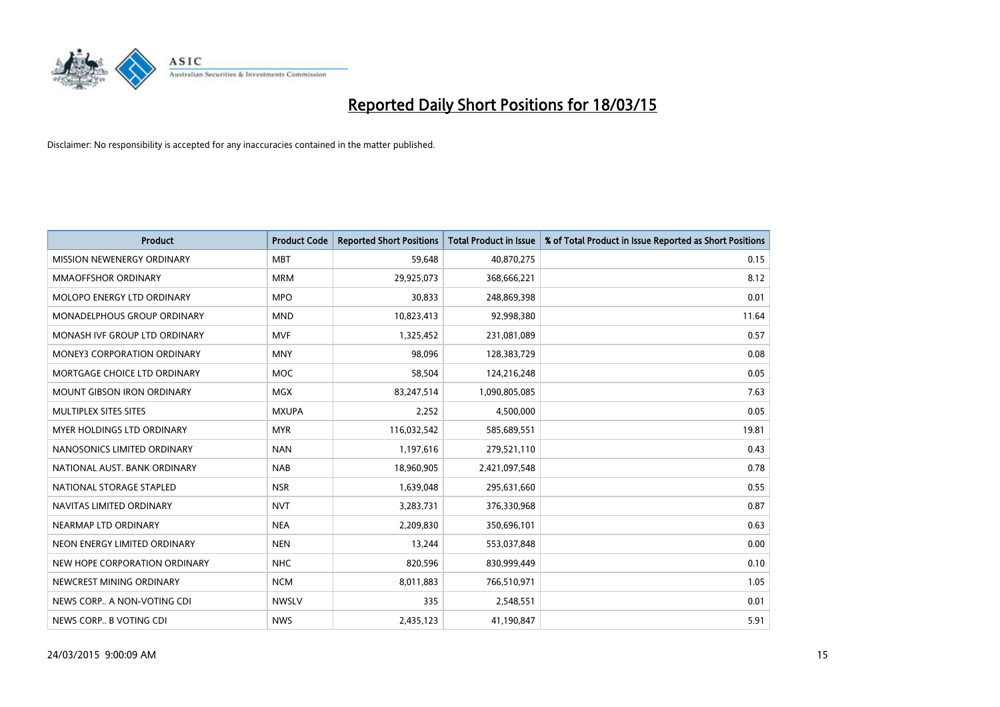

| <b>Product</b>                     | <b>Product Code</b> | <b>Reported Short Positions</b> | <b>Total Product in Issue</b> | % of Total Product in Issue Reported as Short Positions |
|------------------------------------|---------------------|---------------------------------|-------------------------------|---------------------------------------------------------|
| MISSION NEWENERGY ORDINARY         | <b>MBT</b>          | 59,648                          | 40,870,275                    | 0.15                                                    |
| <b>MMAOFFSHOR ORDINARY</b>         | <b>MRM</b>          | 29,925,073                      | 368,666,221                   | 8.12                                                    |
| MOLOPO ENERGY LTD ORDINARY         | <b>MPO</b>          | 30,833                          | 248,869,398                   | 0.01                                                    |
| MONADELPHOUS GROUP ORDINARY        | <b>MND</b>          | 10,823,413                      | 92,998,380                    | 11.64                                                   |
| MONASH IVF GROUP LTD ORDINARY      | <b>MVF</b>          | 1,325,452                       | 231,081,089                   | 0.57                                                    |
| <b>MONEY3 CORPORATION ORDINARY</b> | <b>MNY</b>          | 98,096                          | 128,383,729                   | 0.08                                                    |
| MORTGAGE CHOICE LTD ORDINARY       | MOC                 | 58,504                          | 124,216,248                   | 0.05                                                    |
| MOUNT GIBSON IRON ORDINARY         | <b>MGX</b>          | 83,247,514                      | 1,090,805,085                 | 7.63                                                    |
| MULTIPLEX SITES SITES              | <b>MXUPA</b>        | 2,252                           | 4,500,000                     | 0.05                                                    |
| MYER HOLDINGS LTD ORDINARY         | <b>MYR</b>          | 116,032,542                     | 585,689,551                   | 19.81                                                   |
| NANOSONICS LIMITED ORDINARY        | <b>NAN</b>          | 1,197,616                       | 279,521,110                   | 0.43                                                    |
| NATIONAL AUST. BANK ORDINARY       | <b>NAB</b>          | 18,960,905                      | 2,421,097,548                 | 0.78                                                    |
| NATIONAL STORAGE STAPLED           | <b>NSR</b>          | 1,639,048                       | 295,631,660                   | 0.55                                                    |
| NAVITAS LIMITED ORDINARY           | <b>NVT</b>          | 3,283,731                       | 376,330,968                   | 0.87                                                    |
| NEARMAP LTD ORDINARY               | <b>NEA</b>          | 2,209,830                       | 350,696,101                   | 0.63                                                    |
| NEON ENERGY LIMITED ORDINARY       | <b>NEN</b>          | 13,244                          | 553,037,848                   | 0.00                                                    |
| NEW HOPE CORPORATION ORDINARY      | <b>NHC</b>          | 820,596                         | 830,999,449                   | 0.10                                                    |
| NEWCREST MINING ORDINARY           | <b>NCM</b>          | 8,011,883                       | 766,510,971                   | 1.05                                                    |
| NEWS CORP A NON-VOTING CDI         | <b>NWSLV</b>        | 335                             | 2,548,551                     | 0.01                                                    |
| NEWS CORP B VOTING CDI             | <b>NWS</b>          | 2,435,123                       | 41,190,847                    | 5.91                                                    |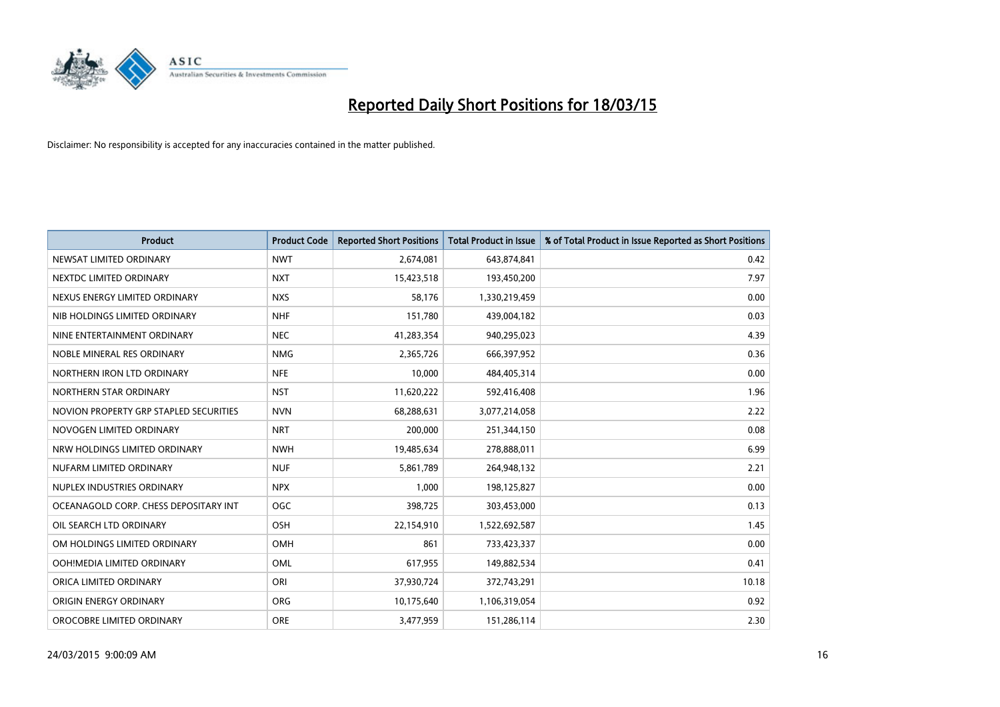

| <b>Product</b>                         | <b>Product Code</b> | <b>Reported Short Positions</b> | <b>Total Product in Issue</b> | % of Total Product in Issue Reported as Short Positions |
|----------------------------------------|---------------------|---------------------------------|-------------------------------|---------------------------------------------------------|
| NEWSAT LIMITED ORDINARY                | <b>NWT</b>          | 2,674,081                       | 643,874,841                   | 0.42                                                    |
| NEXTDC LIMITED ORDINARY                | <b>NXT</b>          | 15,423,518                      | 193,450,200                   | 7.97                                                    |
| NEXUS ENERGY LIMITED ORDINARY          | <b>NXS</b>          | 58.176                          | 1,330,219,459                 | 0.00                                                    |
| NIB HOLDINGS LIMITED ORDINARY          | <b>NHF</b>          | 151,780                         | 439,004,182                   | 0.03                                                    |
| NINE ENTERTAINMENT ORDINARY            | <b>NEC</b>          | 41,283,354                      | 940,295,023                   | 4.39                                                    |
| NOBLE MINERAL RES ORDINARY             | <b>NMG</b>          | 2,365,726                       | 666,397,952                   | 0.36                                                    |
| NORTHERN IRON LTD ORDINARY             | <b>NFE</b>          | 10,000                          | 484,405,314                   | 0.00                                                    |
| NORTHERN STAR ORDINARY                 | <b>NST</b>          | 11,620,222                      | 592,416,408                   | 1.96                                                    |
| NOVION PROPERTY GRP STAPLED SECURITIES | <b>NVN</b>          | 68,288,631                      | 3,077,214,058                 | 2.22                                                    |
| NOVOGEN LIMITED ORDINARY               | <b>NRT</b>          | 200,000                         | 251,344,150                   | 0.08                                                    |
| NRW HOLDINGS LIMITED ORDINARY          | <b>NWH</b>          | 19,485,634                      | 278,888,011                   | 6.99                                                    |
| NUFARM LIMITED ORDINARY                | <b>NUF</b>          | 5,861,789                       | 264,948,132                   | 2.21                                                    |
| NUPLEX INDUSTRIES ORDINARY             | <b>NPX</b>          | 1,000                           | 198,125,827                   | 0.00                                                    |
| OCEANAGOLD CORP. CHESS DEPOSITARY INT  | <b>OGC</b>          | 398,725                         | 303,453,000                   | 0.13                                                    |
| OIL SEARCH LTD ORDINARY                | OSH                 | 22,154,910                      | 1,522,692,587                 | 1.45                                                    |
| OM HOLDINGS LIMITED ORDINARY           | OMH                 | 861                             | 733,423,337                   | 0.00                                                    |
| OOH!MEDIA LIMITED ORDINARY             | OML                 | 617,955                         | 149,882,534                   | 0.41                                                    |
| ORICA LIMITED ORDINARY                 | ORI                 | 37,930,724                      | 372,743,291                   | 10.18                                                   |
| ORIGIN ENERGY ORDINARY                 | <b>ORG</b>          | 10,175,640                      | 1,106,319,054                 | 0.92                                                    |
| OROCOBRE LIMITED ORDINARY              | <b>ORE</b>          | 3,477,959                       | 151,286,114                   | 2.30                                                    |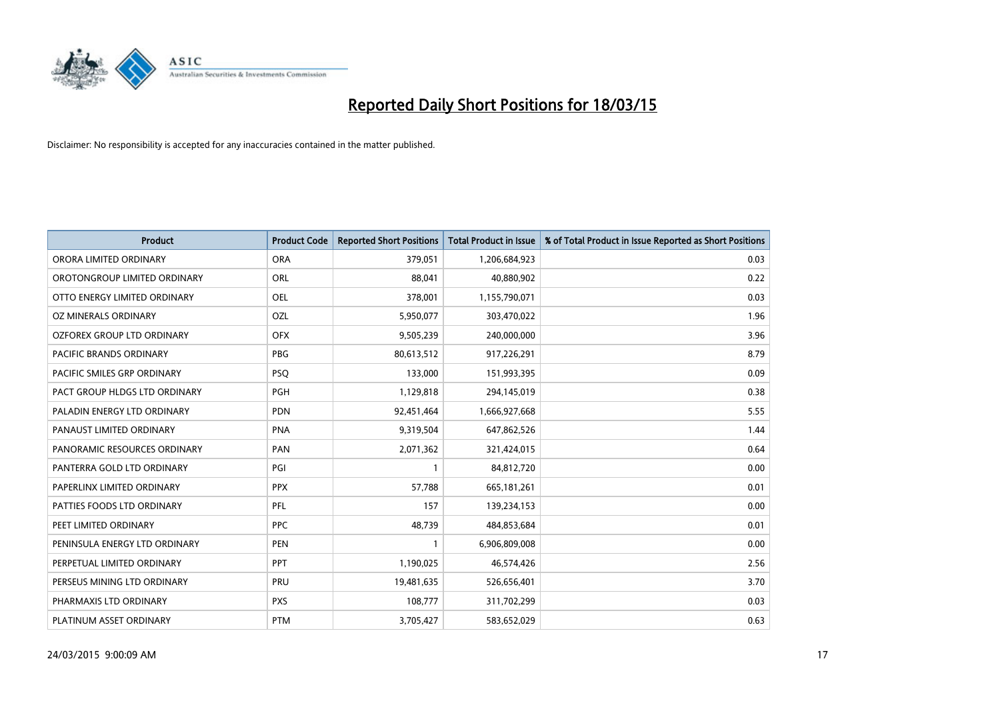

| <b>Product</b>                    | <b>Product Code</b> | <b>Reported Short Positions</b> | <b>Total Product in Issue</b> | % of Total Product in Issue Reported as Short Positions |
|-----------------------------------|---------------------|---------------------------------|-------------------------------|---------------------------------------------------------|
| ORORA LIMITED ORDINARY            | <b>ORA</b>          | 379,051                         | 1,206,684,923                 | 0.03                                                    |
| OROTONGROUP LIMITED ORDINARY      | ORL                 | 88,041                          | 40,880,902                    | 0.22                                                    |
| OTTO ENERGY LIMITED ORDINARY      | <b>OEL</b>          | 378,001                         | 1,155,790,071                 | 0.03                                                    |
| OZ MINERALS ORDINARY              | OZL                 | 5,950,077                       | 303,470,022                   | 1.96                                                    |
| <b>OZFOREX GROUP LTD ORDINARY</b> | <b>OFX</b>          | 9,505,239                       | 240,000,000                   | 3.96                                                    |
| PACIFIC BRANDS ORDINARY           | <b>PBG</b>          | 80,613,512                      | 917,226,291                   | 8.79                                                    |
| PACIFIC SMILES GRP ORDINARY       | <b>PSQ</b>          | 133,000                         | 151,993,395                   | 0.09                                                    |
| PACT GROUP HLDGS LTD ORDINARY     | <b>PGH</b>          | 1,129,818                       | 294,145,019                   | 0.38                                                    |
| PALADIN ENERGY LTD ORDINARY       | <b>PDN</b>          | 92,451,464                      | 1,666,927,668                 | 5.55                                                    |
| PANAUST LIMITED ORDINARY          | <b>PNA</b>          | 9,319,504                       | 647,862,526                   | 1.44                                                    |
| PANORAMIC RESOURCES ORDINARY      | PAN                 | 2,071,362                       | 321,424,015                   | 0.64                                                    |
| PANTERRA GOLD LTD ORDINARY        | PGI                 | 1                               | 84,812,720                    | 0.00                                                    |
| PAPERLINX LIMITED ORDINARY        | <b>PPX</b>          | 57,788                          | 665, 181, 261                 | 0.01                                                    |
| PATTIES FOODS LTD ORDINARY        | PFL                 | 157                             | 139,234,153                   | 0.00                                                    |
| PEET LIMITED ORDINARY             | <b>PPC</b>          | 48,739                          | 484,853,684                   | 0.01                                                    |
| PENINSULA ENERGY LTD ORDINARY     | <b>PEN</b>          |                                 | 6,906,809,008                 | 0.00                                                    |
| PERPETUAL LIMITED ORDINARY        | <b>PPT</b>          | 1,190,025                       | 46,574,426                    | 2.56                                                    |
| PERSEUS MINING LTD ORDINARY       | <b>PRU</b>          | 19,481,635                      | 526,656,401                   | 3.70                                                    |
| PHARMAXIS LTD ORDINARY            | <b>PXS</b>          | 108,777                         | 311,702,299                   | 0.03                                                    |
| PLATINUM ASSET ORDINARY           | <b>PTM</b>          | 3,705,427                       | 583,652,029                   | 0.63                                                    |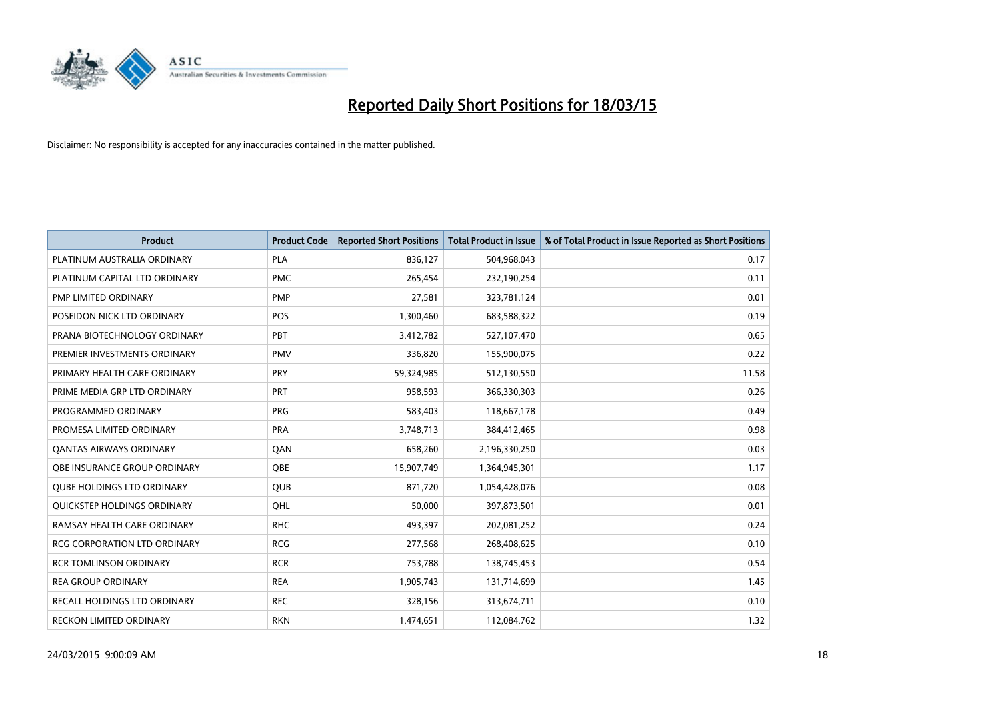

| <b>Product</b>                      | <b>Product Code</b> | <b>Reported Short Positions</b> | <b>Total Product in Issue</b> | % of Total Product in Issue Reported as Short Positions |
|-------------------------------------|---------------------|---------------------------------|-------------------------------|---------------------------------------------------------|
| PLATINUM AUSTRALIA ORDINARY         | PLA                 | 836,127                         | 504,968,043                   | 0.17                                                    |
| PLATINUM CAPITAL LTD ORDINARY       | <b>PMC</b>          | 265,454                         | 232,190,254                   | 0.11                                                    |
| PMP LIMITED ORDINARY                | <b>PMP</b>          | 27,581                          | 323,781,124                   | 0.01                                                    |
| POSEIDON NICK LTD ORDINARY          | <b>POS</b>          | 1,300,460                       | 683,588,322                   | 0.19                                                    |
| PRANA BIOTECHNOLOGY ORDINARY        | PBT                 | 3,412,782                       | 527,107,470                   | 0.65                                                    |
| PREMIER INVESTMENTS ORDINARY        | <b>PMV</b>          | 336,820                         | 155,900,075                   | 0.22                                                    |
| PRIMARY HEALTH CARE ORDINARY        | <b>PRY</b>          | 59,324,985                      | 512,130,550                   | 11.58                                                   |
| PRIME MEDIA GRP LTD ORDINARY        | <b>PRT</b>          | 958,593                         | 366,330,303                   | 0.26                                                    |
| PROGRAMMED ORDINARY                 | <b>PRG</b>          | 583,403                         | 118,667,178                   | 0.49                                                    |
| PROMESA LIMITED ORDINARY            | <b>PRA</b>          | 3,748,713                       | 384,412,465                   | 0.98                                                    |
| <b>QANTAS AIRWAYS ORDINARY</b>      | QAN                 | 658,260                         | 2,196,330,250                 | 0.03                                                    |
| <b>OBE INSURANCE GROUP ORDINARY</b> | <b>OBE</b>          | 15,907,749                      | 1,364,945,301                 | 1.17                                                    |
| <b>QUBE HOLDINGS LTD ORDINARY</b>   | <b>QUB</b>          | 871,720                         | 1,054,428,076                 | 0.08                                                    |
| <b>OUICKSTEP HOLDINGS ORDINARY</b>  | OHL                 | 50,000                          | 397,873,501                   | 0.01                                                    |
| RAMSAY HEALTH CARE ORDINARY         | <b>RHC</b>          | 493,397                         | 202,081,252                   | 0.24                                                    |
| RCG CORPORATION LTD ORDINARY        | <b>RCG</b>          | 277,568                         | 268,408,625                   | 0.10                                                    |
| <b>RCR TOMLINSON ORDINARY</b>       | <b>RCR</b>          | 753,788                         | 138,745,453                   | 0.54                                                    |
| <b>REA GROUP ORDINARY</b>           | <b>REA</b>          | 1,905,743                       | 131,714,699                   | 1.45                                                    |
| RECALL HOLDINGS LTD ORDINARY        | <b>REC</b>          | 328,156                         | 313,674,711                   | 0.10                                                    |
| RECKON LIMITED ORDINARY             | <b>RKN</b>          | 1,474,651                       | 112,084,762                   | 1.32                                                    |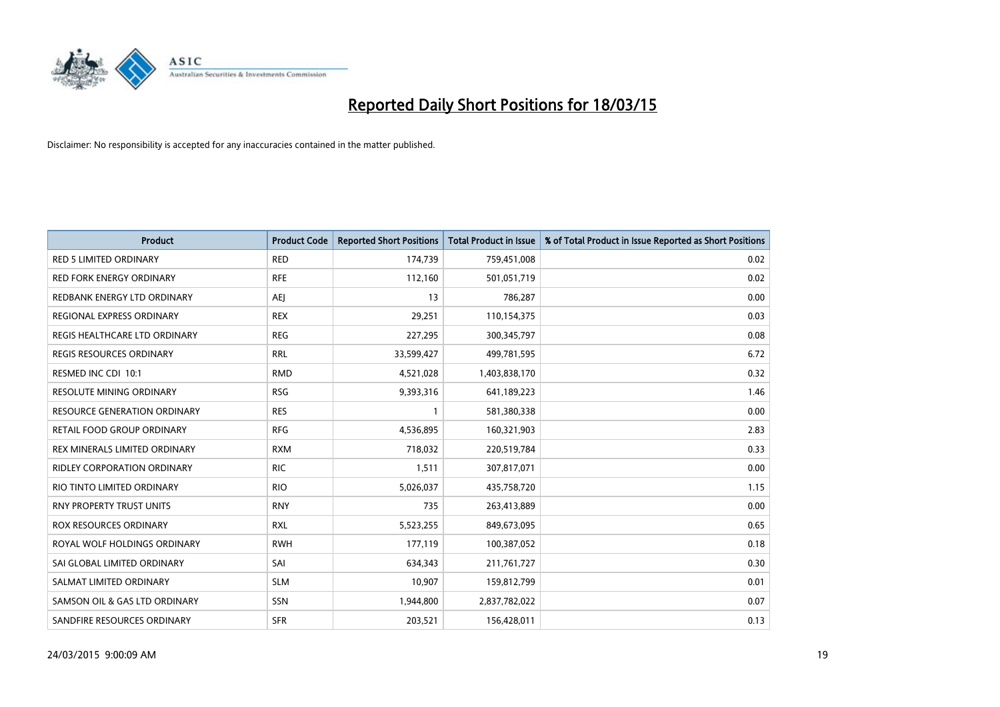

| <b>Product</b>                      | <b>Product Code</b> | <b>Reported Short Positions</b> | <b>Total Product in Issue</b> | % of Total Product in Issue Reported as Short Positions |
|-------------------------------------|---------------------|---------------------------------|-------------------------------|---------------------------------------------------------|
| <b>RED 5 LIMITED ORDINARY</b>       | <b>RED</b>          | 174,739                         | 759,451,008                   | 0.02                                                    |
| <b>RED FORK ENERGY ORDINARY</b>     | <b>RFE</b>          | 112,160                         | 501,051,719                   | 0.02                                                    |
| REDBANK ENERGY LTD ORDINARY         | <b>AEI</b>          | 13                              | 786,287                       | 0.00                                                    |
| <b>REGIONAL EXPRESS ORDINARY</b>    | <b>REX</b>          | 29,251                          | 110,154,375                   | 0.03                                                    |
| REGIS HEALTHCARE LTD ORDINARY       | <b>REG</b>          | 227,295                         | 300,345,797                   | 0.08                                                    |
| REGIS RESOURCES ORDINARY            | <b>RRL</b>          | 33,599,427                      | 499,781,595                   | 6.72                                                    |
| RESMED INC CDI 10:1                 | <b>RMD</b>          | 4,521,028                       | 1,403,838,170                 | 0.32                                                    |
| RESOLUTE MINING ORDINARY            | <b>RSG</b>          | 9,393,316                       | 641,189,223                   | 1.46                                                    |
| <b>RESOURCE GENERATION ORDINARY</b> | <b>RES</b>          |                                 | 581,380,338                   | 0.00                                                    |
| <b>RETAIL FOOD GROUP ORDINARY</b>   | <b>RFG</b>          | 4,536,895                       | 160,321,903                   | 2.83                                                    |
| REX MINERALS LIMITED ORDINARY       | <b>RXM</b>          | 718,032                         | 220,519,784                   | 0.33                                                    |
| RIDLEY CORPORATION ORDINARY         | <b>RIC</b>          | 1,511                           | 307,817,071                   | 0.00                                                    |
| RIO TINTO LIMITED ORDINARY          | <b>RIO</b>          | 5,026,037                       | 435,758,720                   | 1.15                                                    |
| <b>RNY PROPERTY TRUST UNITS</b>     | <b>RNY</b>          | 735                             | 263,413,889                   | 0.00                                                    |
| <b>ROX RESOURCES ORDINARY</b>       | <b>RXL</b>          | 5,523,255                       | 849,673,095                   | 0.65                                                    |
| ROYAL WOLF HOLDINGS ORDINARY        | <b>RWH</b>          | 177,119                         | 100,387,052                   | 0.18                                                    |
| SAI GLOBAL LIMITED ORDINARY         | SAI                 | 634,343                         | 211,761,727                   | 0.30                                                    |
| SALMAT LIMITED ORDINARY             | <b>SLM</b>          | 10,907                          | 159,812,799                   | 0.01                                                    |
| SAMSON OIL & GAS LTD ORDINARY       | <b>SSN</b>          | 1,944,800                       | 2,837,782,022                 | 0.07                                                    |
| SANDFIRE RESOURCES ORDINARY         | <b>SFR</b>          | 203,521                         | 156,428,011                   | 0.13                                                    |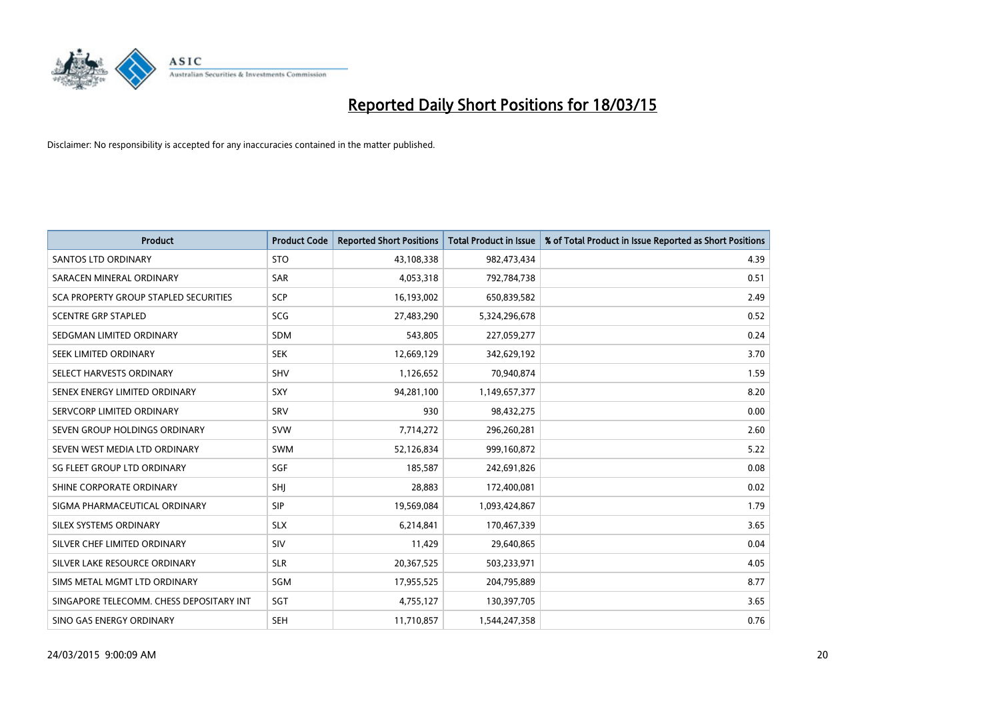

| <b>Product</b>                           | <b>Product Code</b> | <b>Reported Short Positions</b> | <b>Total Product in Issue</b> | % of Total Product in Issue Reported as Short Positions |
|------------------------------------------|---------------------|---------------------------------|-------------------------------|---------------------------------------------------------|
| <b>SANTOS LTD ORDINARY</b>               | <b>STO</b>          | 43,108,338                      | 982,473,434                   | 4.39                                                    |
| SARACEN MINERAL ORDINARY                 | <b>SAR</b>          | 4,053,318                       | 792,784,738                   | 0.51                                                    |
| SCA PROPERTY GROUP STAPLED SECURITIES    | <b>SCP</b>          | 16,193,002                      | 650,839,582                   | 2.49                                                    |
| <b>SCENTRE GRP STAPLED</b>               | <b>SCG</b>          | 27,483,290                      | 5,324,296,678                 | 0.52                                                    |
| SEDGMAN LIMITED ORDINARY                 | <b>SDM</b>          | 543,805                         | 227,059,277                   | 0.24                                                    |
| SEEK LIMITED ORDINARY                    | <b>SEK</b>          | 12,669,129                      | 342,629,192                   | 3.70                                                    |
| SELECT HARVESTS ORDINARY                 | <b>SHV</b>          | 1,126,652                       | 70,940,874                    | 1.59                                                    |
| SENEX ENERGY LIMITED ORDINARY            | <b>SXY</b>          | 94,281,100                      | 1,149,657,377                 | 8.20                                                    |
| SERVCORP LIMITED ORDINARY                | SRV                 | 930                             | 98,432,275                    | 0.00                                                    |
| SEVEN GROUP HOLDINGS ORDINARY            | <b>SVW</b>          | 7,714,272                       | 296,260,281                   | 2.60                                                    |
| SEVEN WEST MEDIA LTD ORDINARY            | SWM                 | 52,126,834                      | 999,160,872                   | 5.22                                                    |
| SG FLEET GROUP LTD ORDINARY              | SGF                 | 185,587                         | 242,691,826                   | 0.08                                                    |
| SHINE CORPORATE ORDINARY                 | SHJ                 | 28,883                          | 172,400,081                   | 0.02                                                    |
| SIGMA PHARMACEUTICAL ORDINARY            | <b>SIP</b>          | 19,569,084                      | 1,093,424,867                 | 1.79                                                    |
| SILEX SYSTEMS ORDINARY                   | <b>SLX</b>          | 6,214,841                       | 170,467,339                   | 3.65                                                    |
| SILVER CHEF LIMITED ORDINARY             | SIV                 | 11,429                          | 29,640,865                    | 0.04                                                    |
| SILVER LAKE RESOURCE ORDINARY            | <b>SLR</b>          | 20,367,525                      | 503,233,971                   | 4.05                                                    |
| SIMS METAL MGMT LTD ORDINARY             | SGM                 | 17,955,525                      | 204,795,889                   | 8.77                                                    |
| SINGAPORE TELECOMM. CHESS DEPOSITARY INT | SGT                 | 4,755,127                       | 130,397,705                   | 3.65                                                    |
| SINO GAS ENERGY ORDINARY                 | <b>SEH</b>          | 11,710,857                      | 1,544,247,358                 | 0.76                                                    |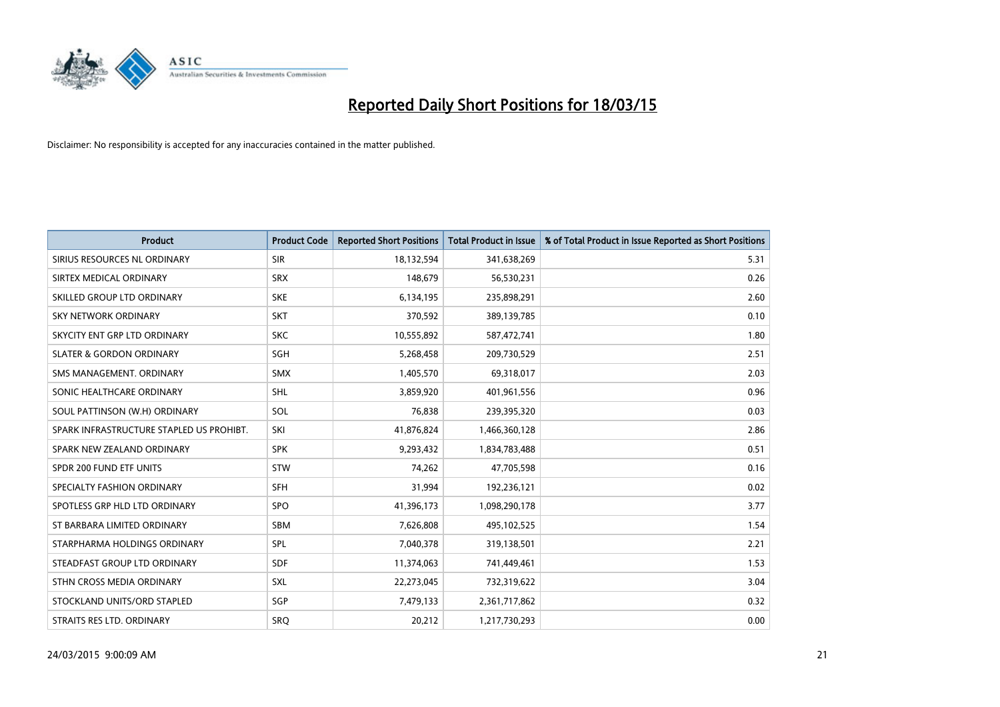

| <b>Product</b>                           | <b>Product Code</b> | <b>Reported Short Positions</b> | <b>Total Product in Issue</b> | % of Total Product in Issue Reported as Short Positions |
|------------------------------------------|---------------------|---------------------------------|-------------------------------|---------------------------------------------------------|
| SIRIUS RESOURCES NL ORDINARY             | <b>SIR</b>          | 18,132,594                      | 341,638,269                   | 5.31                                                    |
| SIRTEX MEDICAL ORDINARY                  | <b>SRX</b>          | 148,679                         | 56,530,231                    | 0.26                                                    |
| SKILLED GROUP LTD ORDINARY               | <b>SKE</b>          | 6,134,195                       | 235,898,291                   | 2.60                                                    |
| SKY NETWORK ORDINARY                     | <b>SKT</b>          | 370,592                         | 389,139,785                   | 0.10                                                    |
| SKYCITY ENT GRP LTD ORDINARY             | <b>SKC</b>          | 10,555,892                      | 587,472,741                   | 1.80                                                    |
| <b>SLATER &amp; GORDON ORDINARY</b>      | SGH                 | 5,268,458                       | 209,730,529                   | 2.51                                                    |
| SMS MANAGEMENT, ORDINARY                 | <b>SMX</b>          | 1,405,570                       | 69,318,017                    | 2.03                                                    |
| SONIC HEALTHCARE ORDINARY                | SHL                 | 3,859,920                       | 401,961,556                   | 0.96                                                    |
| SOUL PATTINSON (W.H) ORDINARY            | SOL                 | 76,838                          | 239,395,320                   | 0.03                                                    |
| SPARK INFRASTRUCTURE STAPLED US PROHIBT. | SKI                 | 41,876,824                      | 1,466,360,128                 | 2.86                                                    |
| SPARK NEW ZEALAND ORDINARY               | <b>SPK</b>          | 9,293,432                       | 1,834,783,488                 | 0.51                                                    |
| SPDR 200 FUND ETF UNITS                  | <b>STW</b>          | 74,262                          | 47,705,598                    | 0.16                                                    |
| SPECIALTY FASHION ORDINARY               | <b>SFH</b>          | 31,994                          | 192,236,121                   | 0.02                                                    |
| SPOTLESS GRP HLD LTD ORDINARY            | <b>SPO</b>          | 41,396,173                      | 1,098,290,178                 | 3.77                                                    |
| ST BARBARA LIMITED ORDINARY              | <b>SBM</b>          | 7,626,808                       | 495,102,525                   | 1.54                                                    |
| STARPHARMA HOLDINGS ORDINARY             | SPL                 | 7,040,378                       | 319,138,501                   | 2.21                                                    |
| STEADFAST GROUP LTD ORDINARY             | SDF                 | 11,374,063                      | 741,449,461                   | 1.53                                                    |
| STHN CROSS MEDIA ORDINARY                | <b>SXL</b>          | 22,273,045                      | 732,319,622                   | 3.04                                                    |
| STOCKLAND UNITS/ORD STAPLED              | SGP                 | 7,479,133                       | 2,361,717,862                 | 0.32                                                    |
| STRAITS RES LTD. ORDINARY                | SRO                 | 20,212                          | 1,217,730,293                 | 0.00                                                    |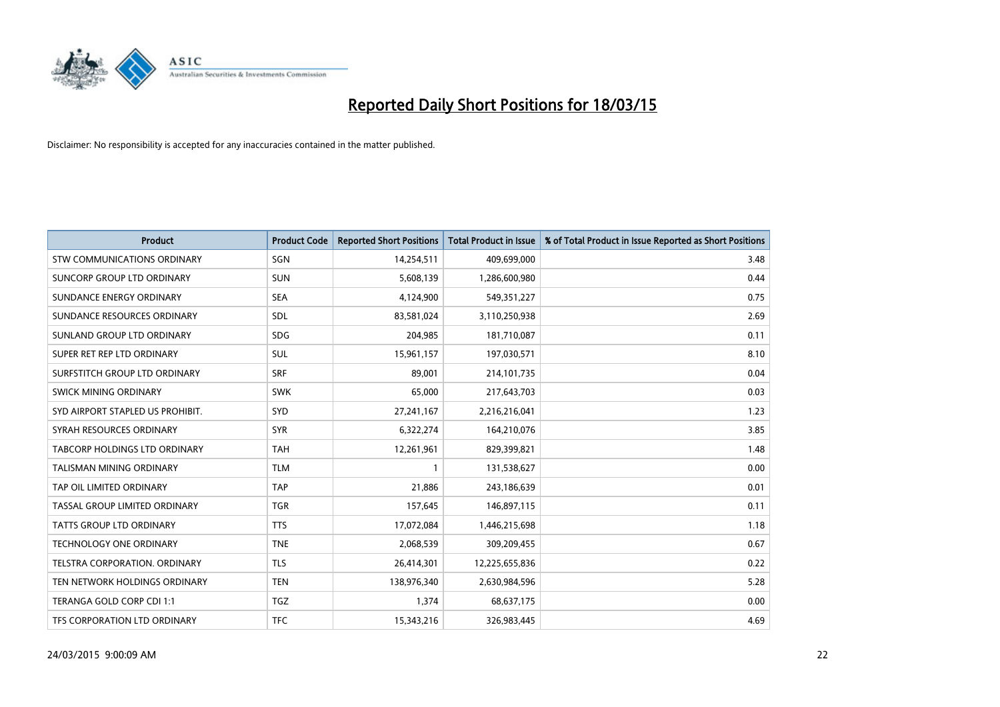

| <b>Product</b>                     | <b>Product Code</b> | <b>Reported Short Positions</b> | <b>Total Product in Issue</b> | % of Total Product in Issue Reported as Short Positions |
|------------------------------------|---------------------|---------------------------------|-------------------------------|---------------------------------------------------------|
| <b>STW COMMUNICATIONS ORDINARY</b> | SGN                 | 14,254,511                      | 409,699,000                   | 3.48                                                    |
| SUNCORP GROUP LTD ORDINARY         | <b>SUN</b>          | 5,608,139                       | 1,286,600,980                 | 0.44                                                    |
| SUNDANCE ENERGY ORDINARY           | <b>SEA</b>          | 4,124,900                       | 549,351,227                   | 0.75                                                    |
| SUNDANCE RESOURCES ORDINARY        | SDL                 | 83,581,024                      | 3,110,250,938                 | 2.69                                                    |
| SUNLAND GROUP LTD ORDINARY         | <b>SDG</b>          | 204,985                         | 181,710,087                   | 0.11                                                    |
| SUPER RET REP LTD ORDINARY         | SUL                 | 15,961,157                      | 197,030,571                   | 8.10                                                    |
| SURFSTITCH GROUP LTD ORDINARY      | <b>SRF</b>          | 89.001                          | 214,101,735                   | 0.04                                                    |
| SWICK MINING ORDINARY              | <b>SWK</b>          | 65,000                          | 217,643,703                   | 0.03                                                    |
| SYD AIRPORT STAPLED US PROHIBIT.   | SYD                 | 27,241,167                      | 2,216,216,041                 | 1.23                                                    |
| SYRAH RESOURCES ORDINARY           | <b>SYR</b>          | 6,322,274                       | 164,210,076                   | 3.85                                                    |
| TABCORP HOLDINGS LTD ORDINARY      | <b>TAH</b>          | 12,261,961                      | 829,399,821                   | 1.48                                                    |
| TALISMAN MINING ORDINARY           | <b>TLM</b>          | 1                               | 131,538,627                   | 0.00                                                    |
| TAP OIL LIMITED ORDINARY           | <b>TAP</b>          | 21,886                          | 243,186,639                   | 0.01                                                    |
| TASSAL GROUP LIMITED ORDINARY      | <b>TGR</b>          | 157,645                         | 146,897,115                   | 0.11                                                    |
| <b>TATTS GROUP LTD ORDINARY</b>    | <b>TTS</b>          | 17,072,084                      | 1,446,215,698                 | 1.18                                                    |
| TECHNOLOGY ONE ORDINARY            | <b>TNE</b>          | 2,068,539                       | 309,209,455                   | 0.67                                                    |
| TELSTRA CORPORATION, ORDINARY      | <b>TLS</b>          | 26,414,301                      | 12,225,655,836                | 0.22                                                    |
| TEN NETWORK HOLDINGS ORDINARY      | <b>TEN</b>          | 138,976,340                     | 2,630,984,596                 | 5.28                                                    |
| TERANGA GOLD CORP CDI 1:1          | <b>TGZ</b>          | 1,374                           | 68,637,175                    | 0.00                                                    |
| TFS CORPORATION LTD ORDINARY       | <b>TFC</b>          | 15,343,216                      | 326,983,445                   | 4.69                                                    |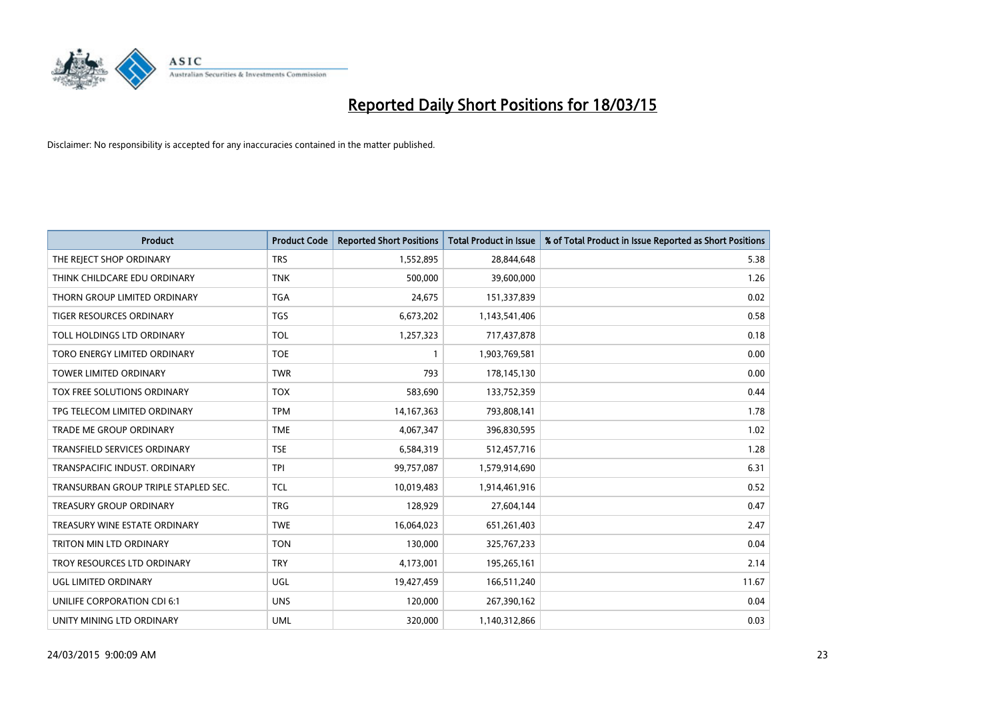

| <b>Product</b>                       | <b>Product Code</b> | <b>Reported Short Positions</b> | <b>Total Product in Issue</b> | % of Total Product in Issue Reported as Short Positions |
|--------------------------------------|---------------------|---------------------------------|-------------------------------|---------------------------------------------------------|
| THE REJECT SHOP ORDINARY             | <b>TRS</b>          | 1,552,895                       | 28,844,648                    | 5.38                                                    |
| THINK CHILDCARE EDU ORDINARY         | <b>TNK</b>          | 500,000                         | 39,600,000                    | 1.26                                                    |
| THORN GROUP LIMITED ORDINARY         | <b>TGA</b>          | 24,675                          | 151,337,839                   | 0.02                                                    |
| TIGER RESOURCES ORDINARY             | <b>TGS</b>          | 6,673,202                       | 1,143,541,406                 | 0.58                                                    |
| TOLL HOLDINGS LTD ORDINARY           | <b>TOL</b>          | 1,257,323                       | 717,437,878                   | 0.18                                                    |
| TORO ENERGY LIMITED ORDINARY         | <b>TOE</b>          | 1                               | 1,903,769,581                 | 0.00                                                    |
| <b>TOWER LIMITED ORDINARY</b>        | <b>TWR</b>          | 793                             | 178,145,130                   | 0.00                                                    |
| TOX FREE SOLUTIONS ORDINARY          | <b>TOX</b>          | 583,690                         | 133,752,359                   | 0.44                                                    |
| TPG TELECOM LIMITED ORDINARY         | <b>TPM</b>          | 14, 167, 363                    | 793,808,141                   | 1.78                                                    |
| <b>TRADE ME GROUP ORDINARY</b>       | <b>TME</b>          | 4,067,347                       | 396,830,595                   | 1.02                                                    |
| TRANSFIELD SERVICES ORDINARY         | <b>TSE</b>          | 6,584,319                       | 512,457,716                   | 1.28                                                    |
| TRANSPACIFIC INDUST, ORDINARY        | <b>TPI</b>          | 99,757,087                      | 1,579,914,690                 | 6.31                                                    |
| TRANSURBAN GROUP TRIPLE STAPLED SEC. | TCL                 | 10,019,483                      | 1,914,461,916                 | 0.52                                                    |
| <b>TREASURY GROUP ORDINARY</b>       | <b>TRG</b>          | 128,929                         | 27,604,144                    | 0.47                                                    |
| TREASURY WINE ESTATE ORDINARY        | <b>TWE</b>          | 16,064,023                      | 651,261,403                   | 2.47                                                    |
| TRITON MIN LTD ORDINARY              | <b>TON</b>          | 130,000                         | 325,767,233                   | 0.04                                                    |
| TROY RESOURCES LTD ORDINARY          | <b>TRY</b>          | 4,173,001                       | 195,265,161                   | 2.14                                                    |
| UGL LIMITED ORDINARY                 | <b>UGL</b>          | 19,427,459                      | 166,511,240                   | 11.67                                                   |
| UNILIFE CORPORATION CDI 6:1          | <b>UNS</b>          | 120,000                         | 267,390,162                   | 0.04                                                    |
| UNITY MINING LTD ORDINARY            | <b>UML</b>          | 320,000                         | 1,140,312,866                 | 0.03                                                    |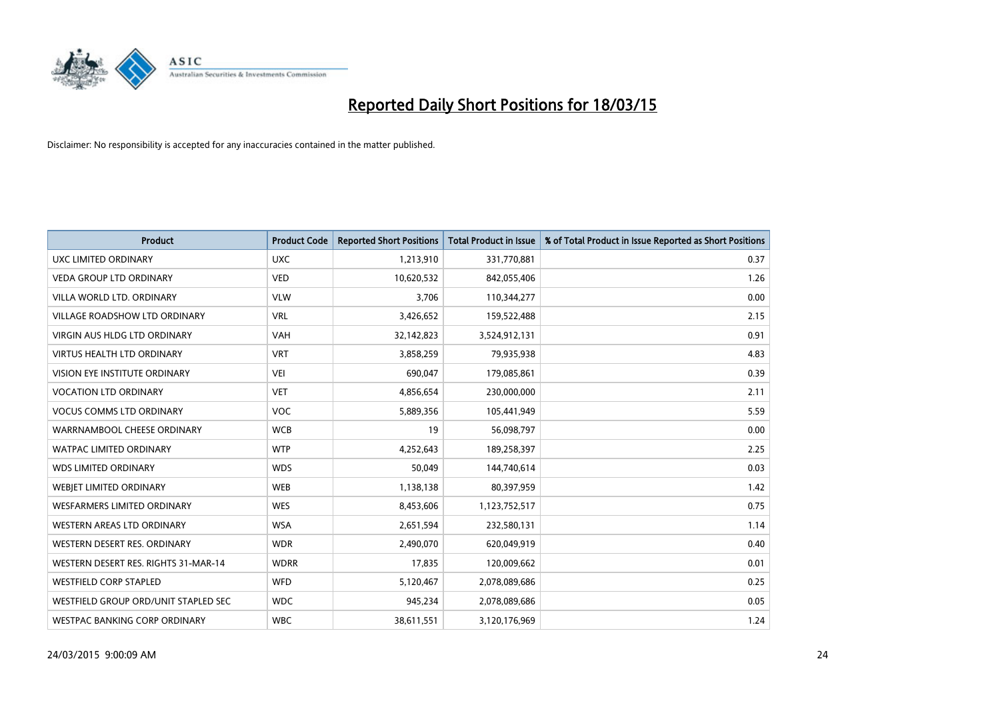

| <b>Product</b>                       | <b>Product Code</b> | <b>Reported Short Positions</b> | <b>Total Product in Issue</b> | % of Total Product in Issue Reported as Short Positions |
|--------------------------------------|---------------------|---------------------------------|-------------------------------|---------------------------------------------------------|
| <b>UXC LIMITED ORDINARY</b>          | <b>UXC</b>          | 1,213,910                       | 331,770,881                   | 0.37                                                    |
| <b>VEDA GROUP LTD ORDINARY</b>       | <b>VED</b>          | 10,620,532                      | 842,055,406                   | 1.26                                                    |
| VILLA WORLD LTD, ORDINARY            | <b>VLW</b>          | 3,706                           | 110,344,277                   | 0.00                                                    |
| VILLAGE ROADSHOW LTD ORDINARY        | <b>VRL</b>          | 3,426,652                       | 159,522,488                   | 2.15                                                    |
| <b>VIRGIN AUS HLDG LTD ORDINARY</b>  | <b>VAH</b>          | 32,142,823                      | 3,524,912,131                 | 0.91                                                    |
| <b>VIRTUS HEALTH LTD ORDINARY</b>    | <b>VRT</b>          | 3,858,259                       | 79,935,938                    | 4.83                                                    |
| VISION EYE INSTITUTE ORDINARY        | <b>VEI</b>          | 690,047                         | 179,085,861                   | 0.39                                                    |
| <b>VOCATION LTD ORDINARY</b>         | <b>VET</b>          | 4,856,654                       | 230,000,000                   | 2.11                                                    |
| <b>VOCUS COMMS LTD ORDINARY</b>      | <b>VOC</b>          | 5,889,356                       | 105,441,949                   | 5.59                                                    |
| WARRNAMBOOL CHEESE ORDINARY          | <b>WCB</b>          | 19                              | 56,098,797                    | 0.00                                                    |
| WATPAC LIMITED ORDINARY              | <b>WTP</b>          | 4,252,643                       | 189,258,397                   | 2.25                                                    |
| <b>WDS LIMITED ORDINARY</b>          | <b>WDS</b>          | 50,049                          | 144,740,614                   | 0.03                                                    |
| WEBIET LIMITED ORDINARY              | <b>WEB</b>          | 1,138,138                       | 80,397,959                    | 1.42                                                    |
| <b>WESFARMERS LIMITED ORDINARY</b>   | <b>WES</b>          | 8,453,606                       | 1,123,752,517                 | 0.75                                                    |
| WESTERN AREAS LTD ORDINARY           | <b>WSA</b>          | 2,651,594                       | 232,580,131                   | 1.14                                                    |
| WESTERN DESERT RES. ORDINARY         | <b>WDR</b>          | 2,490,070                       | 620,049,919                   | 0.40                                                    |
| WESTERN DESERT RES. RIGHTS 31-MAR-14 | <b>WDRR</b>         | 17,835                          | 120,009,662                   | 0.01                                                    |
| <b>WESTFIELD CORP STAPLED</b>        | <b>WFD</b>          | 5,120,467                       | 2,078,089,686                 | 0.25                                                    |
| WESTFIELD GROUP ORD/UNIT STAPLED SEC | <b>WDC</b>          | 945,234                         | 2,078,089,686                 | 0.05                                                    |
| WESTPAC BANKING CORP ORDINARY        | <b>WBC</b>          | 38,611,551                      | 3,120,176,969                 | 1.24                                                    |